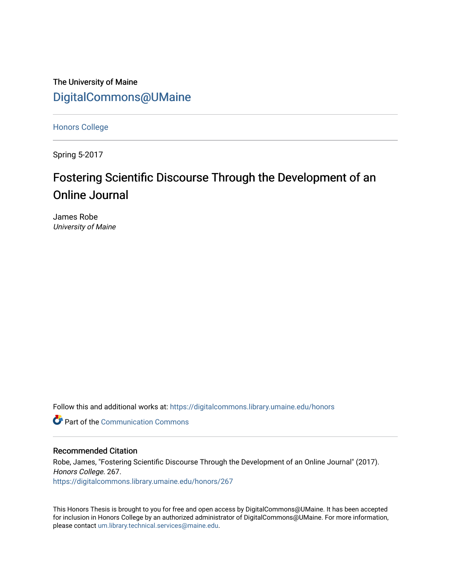The University of Maine [DigitalCommons@UMaine](https://digitalcommons.library.umaine.edu/)

[Honors College](https://digitalcommons.library.umaine.edu/honors)

Spring 5-2017

# Fostering Scientific Discourse Through the Development of an Online Journal

James Robe University of Maine

Follow this and additional works at: [https://digitalcommons.library.umaine.edu/honors](https://digitalcommons.library.umaine.edu/honors?utm_source=digitalcommons.library.umaine.edu%2Fhonors%2F267&utm_medium=PDF&utm_campaign=PDFCoverPages) 

**C** Part of the Communication Commons

# Recommended Citation

Robe, James, "Fostering Scientific Discourse Through the Development of an Online Journal" (2017). Honors College. 267. [https://digitalcommons.library.umaine.edu/honors/267](https://digitalcommons.library.umaine.edu/honors/267?utm_source=digitalcommons.library.umaine.edu%2Fhonors%2F267&utm_medium=PDF&utm_campaign=PDFCoverPages) 

This Honors Thesis is brought to you for free and open access by DigitalCommons@UMaine. It has been accepted for inclusion in Honors College by an authorized administrator of DigitalCommons@UMaine. For more information, please contact [um.library.technical.services@maine.edu.](mailto:um.library.technical.services@maine.edu)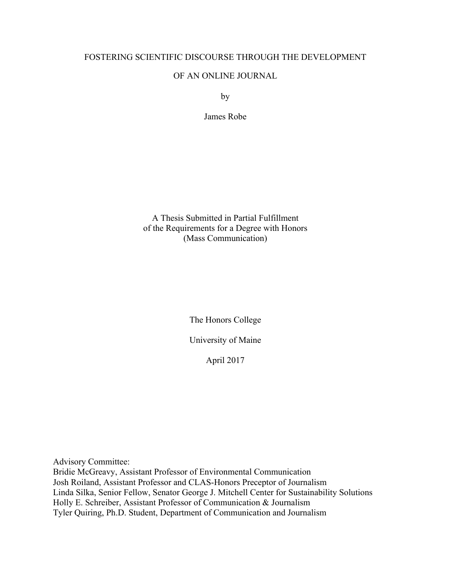# FOSTERING SCIENTIFIC DISCOURSE THROUGH THE DEVELOPMENT

# OF AN ONLINE JOURNAL

by

James Robe

A Thesis Submitted in Partial Fulfillment of the Requirements for a Degree with Honors (Mass Communication)

> The Honors College University of Maine

> > April 2017

Advisory Committee: Bridie McGreavy, Assistant Professor of Environmental Communication Josh Roiland, Assistant Professor and CLAS-Honors Preceptor of Journalism Linda Silka, Senior Fellow, Senator George J. Mitchell Center for Sustainability Solutions Holly E. Schreiber, Assistant Professor of Communication & Journalism Tyler Quiring, Ph.D. Student, Department of Communication and Journalism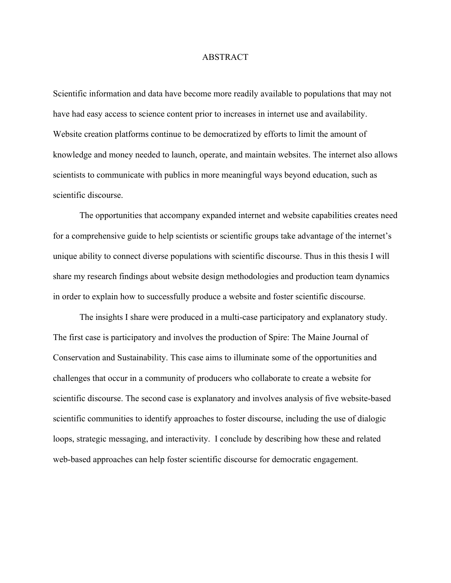# ABSTRACT

Scientific information and data have become more readily available to populations that may not have had easy access to science content prior to increases in internet use and availability. Website creation platforms continue to be democratized by efforts to limit the amount of knowledge and money needed to launch, operate, and maintain websites. The internet also allows scientists to communicate with publics in more meaningful ways beyond education, such as scientific discourse.

The opportunities that accompany expanded internet and website capabilities creates need for a comprehensive guide to help scientists or scientific groups take advantage of the internet's unique ability to connect diverse populations with scientific discourse. Thus in this thesis I will share my research findings about website design methodologies and production team dynamics in order to explain how to successfully produce a website and foster scientific discourse.

The insights I share were produced in a multi-case participatory and explanatory study. The first case is participatory and involves the production of Spire: The Maine Journal of Conservation and Sustainability. This case aims to illuminate some of the opportunities and challenges that occur in a community of producers who collaborate to create a website for scientific discourse. The second case is explanatory and involves analysis of five website-based scientific communities to identify approaches to foster discourse, including the use of dialogic loops, strategic messaging, and interactivity. I conclude by describing how these and related web-based approaches can help foster scientific discourse for democratic engagement.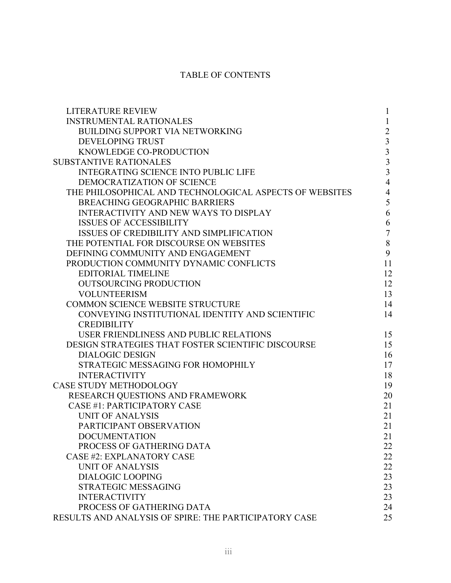# TABLE OF CONTENTS

| <b>LITERATURE REVIEW</b>                                | $\mathbf{1}$                               |
|---------------------------------------------------------|--------------------------------------------|
| <b>INSTRUMENTAL RATIONALES</b>                          | $\mathbf{1}$                               |
| <b>BUILDING SUPPORT VIA NETWORKING</b>                  | $\sqrt{2}$                                 |
| <b>DEVELOPING TRUST</b>                                 | $\overline{\mathbf{3}}$                    |
| KNOWLEDGE CO-PRODUCTION                                 |                                            |
| <b>SUBSTANTIVE RATIONALES</b>                           | $\begin{array}{c} 3 \\ 3 \\ 3 \end{array}$ |
| <b>INTEGRATING SCIENCE INTO PUBLIC LIFE</b>             |                                            |
| DEMOCRATIZATION OF SCIENCE                              | $\overline{4}$                             |
| THE PHILOSOPHICAL AND TECHNOLOGICAL ASPECTS OF WEBSITES | $\overline{4}$                             |
| <b>BREACHING GEOGRAPHIC BARRIERS</b>                    | 5                                          |
| <b>INTERACTIVITY AND NEW WAYS TO DISPLAY</b>            | 6                                          |
| <b>ISSUES OF ACCESSIBILITY</b>                          | 6                                          |
| <b>ISSUES OF CREDIBILITY AND SIMPLIFICATION</b>         | $\boldsymbol{7}$                           |
| THE POTENTIAL FOR DISCOURSE ON WEBSITES                 | $8\,$                                      |
| DEFINING COMMUNITY AND ENGAGEMENT                       | 9                                          |
| PRODUCTION COMMUNITY DYNAMIC CONFLICTS                  | 11                                         |
| <b>EDITORIAL TIMELINE</b>                               | 12                                         |
| <b>OUTSOURCING PRODUCTION</b>                           | 12                                         |
| <b>VOLUNTEERISM</b>                                     | 13                                         |
| <b>COMMON SCIENCE WEBSITE STRUCTURE</b>                 | 14                                         |
| CONVEYING INSTITUTIONAL IDENTITY AND SCIENTIFIC         | 14                                         |
| <b>CREDIBILITY</b>                                      |                                            |
| USER FRIENDLINESS AND PUBLIC RELATIONS                  | 15                                         |
| DESIGN STRATEGIES THAT FOSTER SCIENTIFIC DISCOURSE      | 15                                         |
| <b>DIALOGIC DESIGN</b>                                  | 16                                         |
| STRATEGIC MESSAGING FOR HOMOPHILY                       | 17                                         |
| <b>INTERACTIVITY</b>                                    | 18                                         |
| <b>CASE STUDY METHODOLOGY</b>                           | 19                                         |
| RESEARCH QUESTIONS AND FRAMEWORK                        | 20                                         |
| <b>CASE #1: PARTICIPATORY CASE</b>                      | 21                                         |
| <b>UNIT OF ANALYSIS</b>                                 | 21                                         |
| PARTICIPANT OBSERVATION                                 | 21                                         |
| <b>DOCUMENTATION</b>                                    | 21                                         |
| PROCESS OF GATHERING DATA                               | 22                                         |
| <b>CASE #2: EXPLANATORY CASE</b>                        | 22                                         |
| <b>UNIT OF ANALYSIS</b>                                 | 22                                         |
| <b>DIALOGIC LOOPING</b>                                 | 23                                         |
| <b>STRATEGIC MESSAGING</b>                              | 23                                         |
| <b>INTERACTIVITY</b>                                    | 23                                         |
| PROCESS OF GATHERING DATA                               | 24                                         |
| RESULTS AND ANALYSIS OF SPIRE: THE PARTICIPATORY CASE   | 25                                         |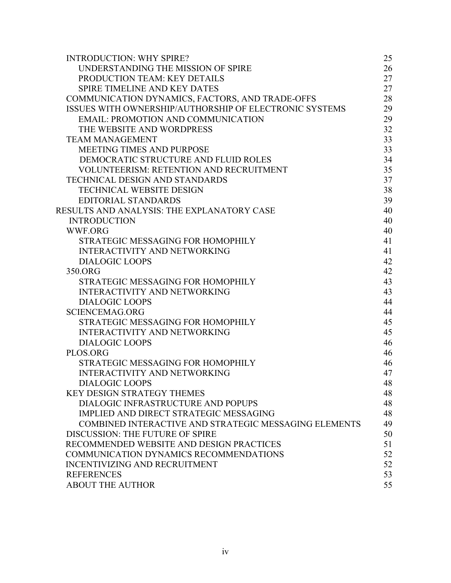| <b>INTRODUCTION: WHY SPIRE?</b>                        | 25 |
|--------------------------------------------------------|----|
| UNDERSTANDING THE MISSION OF SPIRE                     | 26 |
| PRODUCTION TEAM: KEY DETAILS                           | 27 |
| SPIRE TIMELINE AND KEY DATES                           | 27 |
| COMMUNICATION DYNAMICS, FACTORS, AND TRADE-OFFS        | 28 |
| ISSUES WITH OWNERSHIP/AUTHORSHIP OF ELECTRONIC SYSTEMS | 29 |
| <b>EMAIL: PROMOTION AND COMMUNICATION</b>              | 29 |
| THE WEBSITE AND WORDPRESS                              | 32 |
| <b>TEAM MANAGEMENT</b>                                 | 33 |
| <b>MEETING TIMES AND PURPOSE</b>                       | 33 |
| DEMOCRATIC STRUCTURE AND FLUID ROLES                   | 34 |
| <b>VOLUNTEERISM: RETENTION AND RECRUITMENT</b>         | 35 |
| <b>TECHNICAL DESIGN AND STANDARDS</b>                  | 37 |
| <b>TECHNICAL WEBSITE DESIGN</b>                        | 38 |
| <b>EDITORIAL STANDARDS</b>                             | 39 |
| RESULTS AND ANALYSIS: THE EXPLANATORY CASE             | 40 |
| <b>INTRODUCTION</b>                                    | 40 |
| <b>WWF.ORG</b>                                         | 40 |
| STRATEGIC MESSAGING FOR HOMOPHILY                      | 41 |
| <b>INTERACTIVITY AND NETWORKING</b>                    | 41 |
| <b>DIALOGIC LOOPS</b>                                  | 42 |
| 350.ORG                                                | 42 |
| STRATEGIC MESSAGING FOR HOMOPHILY                      | 43 |
| <b>INTERACTIVITY AND NETWORKING</b>                    | 43 |
| <b>DIALOGIC LOOPS</b>                                  | 44 |
| <b>SCIENCEMAG.ORG</b>                                  | 44 |
| STRATEGIC MESSAGING FOR HOMOPHILY                      | 45 |
| <b>INTERACTIVITY AND NETWORKING</b>                    | 45 |
| <b>DIALOGIC LOOPS</b>                                  | 46 |
| PLOS.ORG                                               | 46 |
| STRATEGIC MESSAGING FOR HOMOPHILY                      | 46 |
| <b>INTERACTIVITY AND NETWORKING</b>                    | 47 |
| <b>DIALOGIC LOOPS</b>                                  | 48 |
| <b>KEY DESIGN STRATEGY THEMES</b>                      | 48 |
| DIALOGIC INFRASTRUCTURE AND POPUPS                     | 48 |
| IMPLIED AND DIRECT STRATEGIC MESSAGING                 | 48 |
| COMBINED INTERACTIVE AND STRATEGIC MESSAGING ELEMENTS  | 49 |
| DISCUSSION: THE FUTURE OF SPIRE                        | 50 |
| RECOMMENDED WEBSITE AND DESIGN PRACTICES               | 51 |
| COMMUNICATION DYNAMICS RECOMMENDATIONS                 | 52 |
| <b>INCENTIVIZING AND RECRUITMENT</b>                   | 52 |
| <b>REFERENCES</b>                                      | 53 |
| <b>ABOUT THE AUTHOR</b>                                | 55 |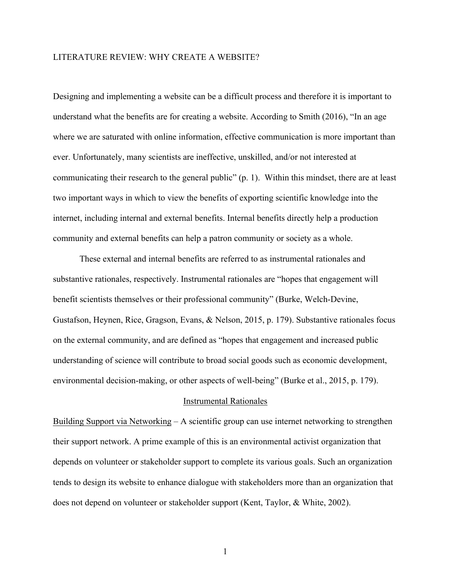# LITERATURE REVIEW: WHY CREATE A WEBSITE?

Designing and implementing a website can be a difficult process and therefore it is important to understand what the benefits are for creating a website. According to Smith (2016), "In an age where we are saturated with online information, effective communication is more important than ever. Unfortunately, many scientists are ineffective, unskilled, and/or not interested at communicating their research to the general public" (p. 1). Within this mindset, there are at least two important ways in which to view the benefits of exporting scientific knowledge into the internet, including internal and external benefits. Internal benefits directly help a production community and external benefits can help a patron community or society as a whole.

 These external and internal benefits are referred to as instrumental rationales and substantive rationales, respectively. Instrumental rationales are "hopes that engagement will benefit scientists themselves or their professional community" (Burke, Welch-Devine, Gustafson, Heynen, Rice, Gragson, Evans, & Nelson, 2015, p. 179). Substantive rationales focus on the external community, and are defined as "hopes that engagement and increased public understanding of science will contribute to broad social goods such as economic development, environmental decision-making, or other aspects of well-being" (Burke et al., 2015, p. 179).

# Instrumental Rationales

Building Support via Networking – A scientific group can use internet networking to strengthen their support network. A prime example of this is an environmental activist organization that depends on volunteer or stakeholder support to complete its various goals. Such an organization tends to design its website to enhance dialogue with stakeholders more than an organization that does not depend on volunteer or stakeholder support (Kent, Taylor, & White, 2002).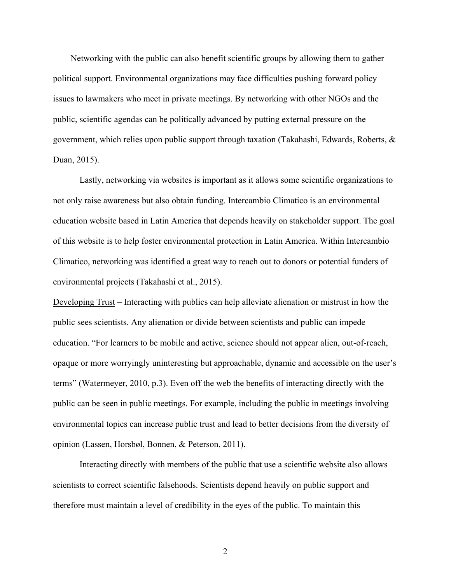Networking with the public can also benefit scientific groups by allowing them to gather political support. Environmental organizations may face difficulties pushing forward policy issues to lawmakers who meet in private meetings. By networking with other NGOs and the public, scientific agendas can be politically advanced by putting external pressure on the government, which relies upon public support through taxation (Takahashi, Edwards, Roberts, & Duan, 2015).

Lastly, networking via websites is important as it allows some scientific organizations to not only raise awareness but also obtain funding. Intercambio Climatico is an environmental education website based in Latin America that depends heavily on stakeholder support. The goal of this website is to help foster environmental protection in Latin America. Within Intercambio Climatico, networking was identified a great way to reach out to donors or potential funders of environmental projects (Takahashi et al., 2015).

Developing Trust – Interacting with publics can help alleviate alienation or mistrust in how the public sees scientists. Any alienation or divide between scientists and public can impede education. "For learners to be mobile and active, science should not appear alien, out-of-reach, opaque or more worryingly uninteresting but approachable, dynamic and accessible on the user's terms" (Watermeyer, 2010, p.3). Even off the web the benefits of interacting directly with the public can be seen in public meetings. For example, including the public in meetings involving environmental topics can increase public trust and lead to better decisions from the diversity of opinion (Lassen, Horsbøl, Bonnen, & Peterson, 2011).

Interacting directly with members of the public that use a scientific website also allows scientists to correct scientific falsehoods. Scientists depend heavily on public support and therefore must maintain a level of credibility in the eyes of the public. To maintain this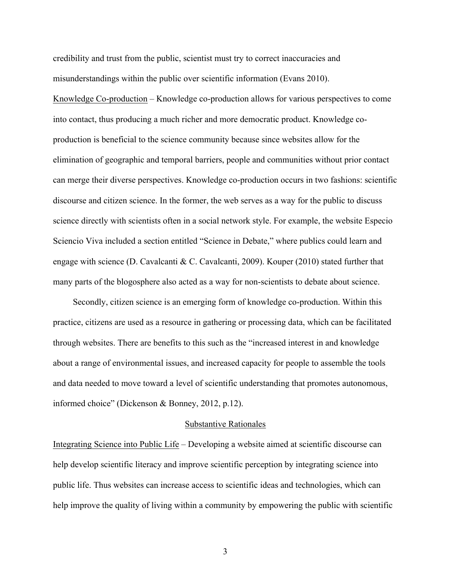credibility and trust from the public, scientist must try to correct inaccuracies and misunderstandings within the public over scientific information (Evans 2010).

Knowledge Co-production – Knowledge co-production allows for various perspectives to come into contact, thus producing a much richer and more democratic product. Knowledge coproduction is beneficial to the science community because since websites allow for the elimination of geographic and temporal barriers, people and communities without prior contact can merge their diverse perspectives. Knowledge co-production occurs in two fashions: scientific discourse and citizen science. In the former, the web serves as a way for the public to discuss science directly with scientists often in a social network style. For example, the website Especio Sciencio Viva included a section entitled "Science in Debate," where publics could learn and engage with science (D. Cavalcanti & C. Cavalcanti, 2009). Kouper (2010) stated further that many parts of the blogosphere also acted as a way for non-scientists to debate about science.

Secondly, citizen science is an emerging form of knowledge co-production. Within this practice, citizens are used as a resource in gathering or processing data, which can be facilitated through websites. There are benefits to this such as the "increased interest in and knowledge about a range of environmental issues, and increased capacity for people to assemble the tools and data needed to move toward a level of scientific understanding that promotes autonomous, informed choice" (Dickenson & Bonney, 2012, p.12).

#### Substantive Rationales

Integrating Science into Public Life – Developing a website aimed at scientific discourse can help develop scientific literacy and improve scientific perception by integrating science into public life. Thus websites can increase access to scientific ideas and technologies, which can help improve the quality of living within a community by empowering the public with scientific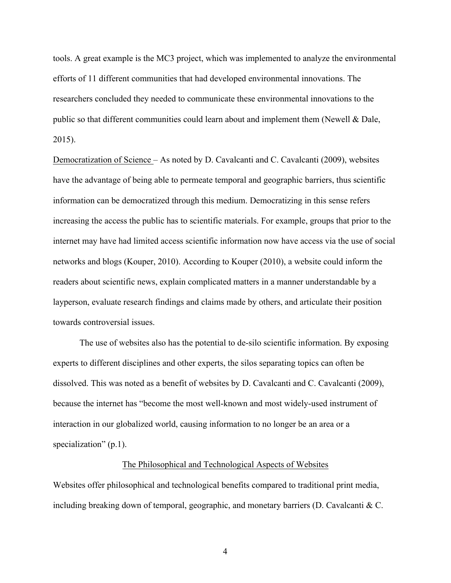tools. A great example is the MC3 project, which was implemented to analyze the environmental efforts of 11 different communities that had developed environmental innovations. The researchers concluded they needed to communicate these environmental innovations to the public so that different communities could learn about and implement them (Newell & Dale, 2015).

Democratization of Science – As noted by D. Cavalcanti and C. Cavalcanti (2009), websites have the advantage of being able to permeate temporal and geographic barriers, thus scientific information can be democratized through this medium. Democratizing in this sense refers increasing the access the public has to scientific materials. For example, groups that prior to the internet may have had limited access scientific information now have access via the use of social networks and blogs (Kouper, 2010). According to Kouper (2010), a website could inform the readers about scientific news, explain complicated matters in a manner understandable by a layperson, evaluate research findings and claims made by others, and articulate their position towards controversial issues.

 The use of websites also has the potential to de-silo scientific information. By exposing experts to different disciplines and other experts, the silos separating topics can often be dissolved. This was noted as a benefit of websites by D. Cavalcanti and C. Cavalcanti (2009), because the internet has "become the most well-known and most widely-used instrument of interaction in our globalized world, causing information to no longer be an area or a specialization" (p.1).

## The Philosophical and Technological Aspects of Websites

Websites offer philosophical and technological benefits compared to traditional print media, including breaking down of temporal, geographic, and monetary barriers (D. Cavalcanti & C.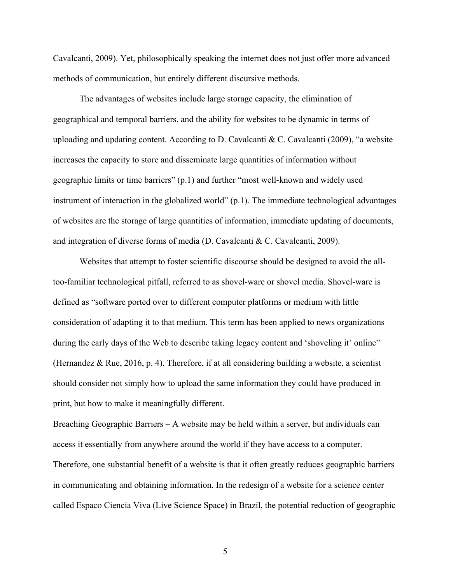Cavalcanti, 2009). Yet, philosophically speaking the internet does not just offer more advanced methods of communication, but entirely different discursive methods.

The advantages of websites include large storage capacity, the elimination of geographical and temporal barriers, and the ability for websites to be dynamic in terms of uploading and updating content. According to D. Cavalcanti & C. Cavalcanti (2009), "a website increases the capacity to store and disseminate large quantities of information without geographic limits or time barriers" (p.1) and further "most well-known and widely used instrument of interaction in the globalized world" (p.1). The immediate technological advantages of websites are the storage of large quantities of information, immediate updating of documents, and integration of diverse forms of media (D. Cavalcanti & C. Cavalcanti, 2009).

Websites that attempt to foster scientific discourse should be designed to avoid the alltoo-familiar technological pitfall, referred to as shovel-ware or shovel media. Shovel-ware is defined as "software ported over to different computer platforms or medium with little consideration of adapting it to that medium. This term has been applied to news organizations during the early days of the Web to describe taking legacy content and 'shoveling it' online" (Hernandez & Rue, 2016, p. 4). Therefore, if at all considering building a website, a scientist should consider not simply how to upload the same information they could have produced in print, but how to make it meaningfully different.

Breaching Geographic Barriers  $- A$  website may be held within a server, but individuals can access it essentially from anywhere around the world if they have access to a computer. Therefore, one substantial benefit of a website is that it often greatly reduces geographic barriers in communicating and obtaining information. In the redesign of a website for a science center called Espaco Ciencia Viva (Live Science Space) in Brazil, the potential reduction of geographic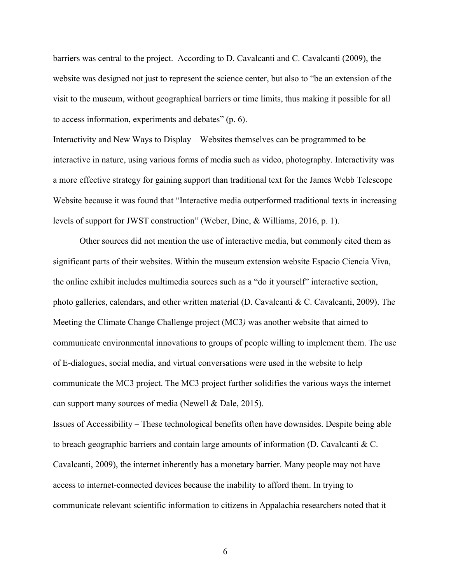barriers was central to the project. According to D. Cavalcanti and C. Cavalcanti (2009), the website was designed not just to represent the science center, but also to "be an extension of the visit to the museum, without geographical barriers or time limits, thus making it possible for all to access information, experiments and debates" (p. 6).

Interactivity and New Ways to Display – Websites themselves can be programmed to be interactive in nature, using various forms of media such as video, photography. Interactivity was a more effective strategy for gaining support than traditional text for the James Webb Telescope Website because it was found that "Interactive media outperformed traditional texts in increasing levels of support for JWST construction" (Weber, Dinc, & Williams, 2016, p. 1).

Other sources did not mention the use of interactive media, but commonly cited them as significant parts of their websites. Within the museum extension website Espacio Ciencia Viva, the online exhibit includes multimedia sources such as a "do it yourself" interactive section, photo galleries, calendars, and other written material (D. Cavalcanti & C. Cavalcanti, 2009). The Meeting the Climate Change Challenge project (MC3*)* was another website that aimed to communicate environmental innovations to groups of people willing to implement them. The use of E-dialogues, social media, and virtual conversations were used in the website to help communicate the MC3 project. The MC3 project further solidifies the various ways the internet can support many sources of media (Newell & Dale, 2015).

Issues of Accessibility – These technological benefits often have downsides. Despite being able to breach geographic barriers and contain large amounts of information (D. Cavalcanti & C. Cavalcanti, 2009), the internet inherently has a monetary barrier. Many people may not have access to internet-connected devices because the inability to afford them. In trying to communicate relevant scientific information to citizens in Appalachia researchers noted that it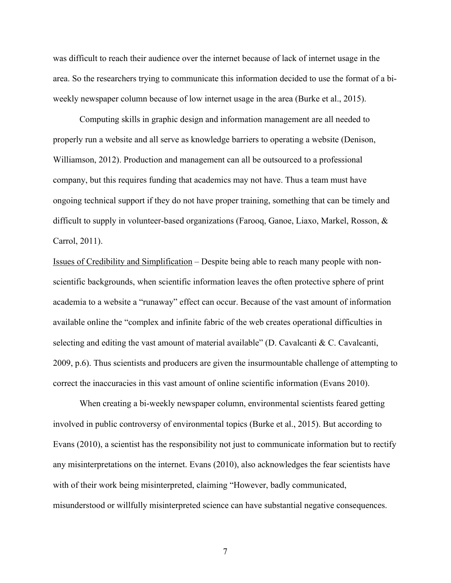was difficult to reach their audience over the internet because of lack of internet usage in the area. So the researchers trying to communicate this information decided to use the format of a biweekly newspaper column because of low internet usage in the area (Burke et al., 2015).

Computing skills in graphic design and information management are all needed to properly run a website and all serve as knowledge barriers to operating a website (Denison, Williamson, 2012). Production and management can all be outsourced to a professional company, but this requires funding that academics may not have. Thus a team must have ongoing technical support if they do not have proper training, something that can be timely and difficult to supply in volunteer-based organizations (Farooq, Ganoe, Liaxo, Markel, Rosson, & Carrol, 2011).

Issues of Credibility and Simplification – Despite being able to reach many people with nonscientific backgrounds, when scientific information leaves the often protective sphere of print academia to a website a "runaway" effect can occur. Because of the vast amount of information available online the "complex and infinite fabric of the web creates operational difficulties in selecting and editing the vast amount of material available" (D. Cavalcanti & C. Cavalcanti, 2009, p.6). Thus scientists and producers are given the insurmountable challenge of attempting to correct the inaccuracies in this vast amount of online scientific information (Evans 2010).

When creating a bi-weekly newspaper column, environmental scientists feared getting involved in public controversy of environmental topics (Burke et al., 2015). But according to Evans (2010), a scientist has the responsibility not just to communicate information but to rectify any misinterpretations on the internet. Evans (2010), also acknowledges the fear scientists have with of their work being misinterpreted, claiming "However, badly communicated, misunderstood or willfully misinterpreted science can have substantial negative consequences.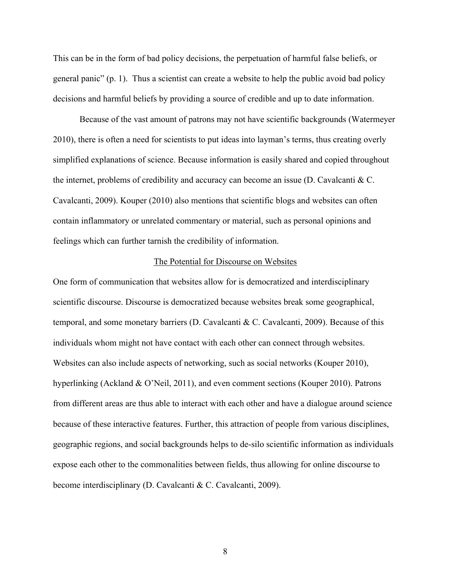This can be in the form of bad policy decisions, the perpetuation of harmful false beliefs, or general panic" (p. 1). Thus a scientist can create a website to help the public avoid bad policy decisions and harmful beliefs by providing a source of credible and up to date information.

Because of the vast amount of patrons may not have scientific backgrounds (Watermeyer 2010), there is often a need for scientists to put ideas into layman's terms, thus creating overly simplified explanations of science. Because information is easily shared and copied throughout the internet, problems of credibility and accuracy can become an issue (D. Cavalcanti  $\& C$ . Cavalcanti, 2009). Kouper (2010) also mentions that scientific blogs and websites can often contain inflammatory or unrelated commentary or material, such as personal opinions and feelings which can further tarnish the credibility of information.

# The Potential for Discourse on Websites

One form of communication that websites allow for is democratized and interdisciplinary scientific discourse. Discourse is democratized because websites break some geographical, temporal, and some monetary barriers (D. Cavalcanti & C. Cavalcanti, 2009). Because of this individuals whom might not have contact with each other can connect through websites. Websites can also include aspects of networking, such as social networks (Kouper 2010), hyperlinking (Ackland & O'Neil, 2011), and even comment sections (Kouper 2010). Patrons from different areas are thus able to interact with each other and have a dialogue around science because of these interactive features. Further, this attraction of people from various disciplines, geographic regions, and social backgrounds helps to de-silo scientific information as individuals expose each other to the commonalities between fields, thus allowing for online discourse to become interdisciplinary (D. Cavalcanti & C. Cavalcanti, 2009).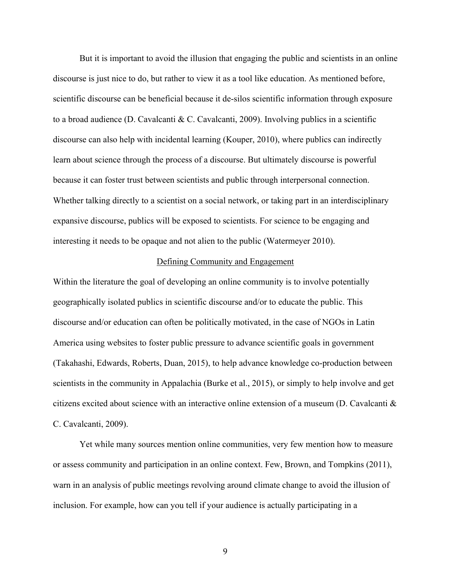But it is important to avoid the illusion that engaging the public and scientists in an online discourse is just nice to do, but rather to view it as a tool like education. As mentioned before, scientific discourse can be beneficial because it de-silos scientific information through exposure to a broad audience (D. Cavalcanti & C. Cavalcanti, 2009). Involving publics in a scientific discourse can also help with incidental learning (Kouper, 2010), where publics can indirectly learn about science through the process of a discourse. But ultimately discourse is powerful because it can foster trust between scientists and public through interpersonal connection. Whether talking directly to a scientist on a social network, or taking part in an interdisciplinary expansive discourse, publics will be exposed to scientists. For science to be engaging and interesting it needs to be opaque and not alien to the public (Watermeyer 2010).

# Defining Community and Engagement

Within the literature the goal of developing an online community is to involve potentially geographically isolated publics in scientific discourse and/or to educate the public. This discourse and/or education can often be politically motivated, in the case of NGOs in Latin America using websites to foster public pressure to advance scientific goals in government (Takahashi, Edwards, Roberts, Duan, 2015), to help advance knowledge co-production between scientists in the community in Appalachia (Burke et al., 2015), or simply to help involve and get citizens excited about science with an interactive online extension of a museum (D. Cavalcanti & C. Cavalcanti, 2009).

 Yet while many sources mention online communities, very few mention how to measure or assess community and participation in an online context. Few, Brown, and Tompkins (2011), warn in an analysis of public meetings revolving around climate change to avoid the illusion of inclusion. For example, how can you tell if your audience is actually participating in a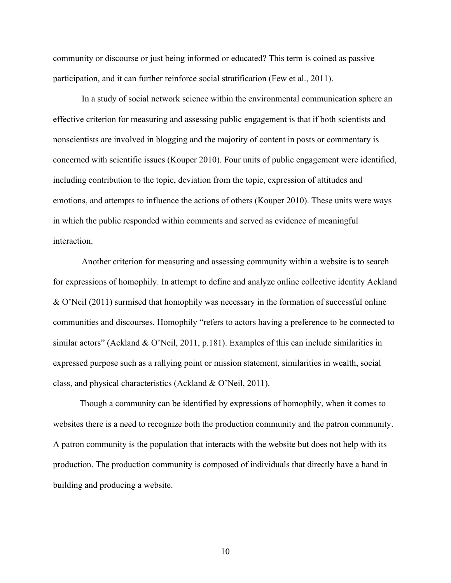community or discourse or just being informed or educated? This term is coined as passive participation, and it can further reinforce social stratification (Few et al., 2011).

 In a study of social network science within the environmental communication sphere an effective criterion for measuring and assessing public engagement is that if both scientists and nonscientists are involved in blogging and the majority of content in posts or commentary is concerned with scientific issues (Kouper 2010). Four units of public engagement were identified, including contribution to the topic, deviation from the topic, expression of attitudes and emotions, and attempts to influence the actions of others (Kouper 2010). These units were ways in which the public responded within comments and served as evidence of meaningful interaction.

 Another criterion for measuring and assessing community within a website is to search for expressions of homophily. In attempt to define and analyze online collective identity Ackland & O'Neil (2011) surmised that homophily was necessary in the formation of successful online communities and discourses. Homophily "refers to actors having a preference to be connected to similar actors" (Ackland & O'Neil, 2011, p.181). Examples of this can include similarities in expressed purpose such as a rallying point or mission statement, similarities in wealth, social class, and physical characteristics (Ackland & O'Neil, 2011).

Though a community can be identified by expressions of homophily, when it comes to websites there is a need to recognize both the production community and the patron community. A patron community is the population that interacts with the website but does not help with its production. The production community is composed of individuals that directly have a hand in building and producing a website.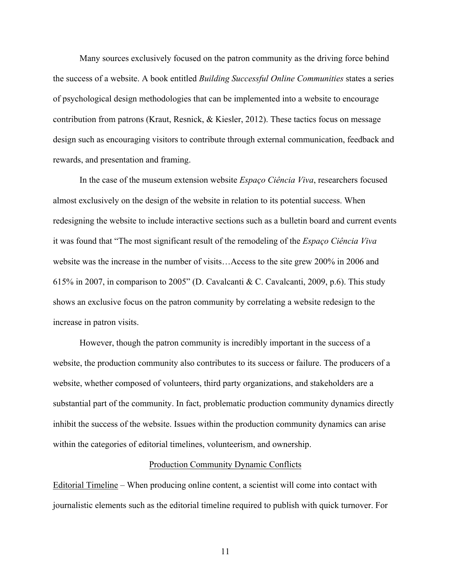Many sources exclusively focused on the patron community as the driving force behind the success of a website. A book entitled *Building Successful Online Communities* states a series of psychological design methodologies that can be implemented into a website to encourage contribution from patrons (Kraut, Resnick, & Kiesler, 2012). These tactics focus on message design such as encouraging visitors to contribute through external communication, feedback and rewards, and presentation and framing.

In the case of the museum extension website *Espaço Ciência Viva*, researchers focused almost exclusively on the design of the website in relation to its potential success. When redesigning the website to include interactive sections such as a bulletin board and current events it was found that "The most significant result of the remodeling of the *Espaço Ciência Viva* website was the increase in the number of visits…Access to the site grew 200% in 2006 and 615% in 2007, in comparison to 2005" (D. Cavalcanti & C. Cavalcanti, 2009, p.6). This study shows an exclusive focus on the patron community by correlating a website redesign to the increase in patron visits.

However, though the patron community is incredibly important in the success of a website, the production community also contributes to its success or failure. The producers of a website, whether composed of volunteers, third party organizations, and stakeholders are a substantial part of the community. In fact, problematic production community dynamics directly inhibit the success of the website. Issues within the production community dynamics can arise within the categories of editorial timelines, volunteerism, and ownership.

## Production Community Dynamic Conflicts

Editorial Timeline – When producing online content, a scientist will come into contact with journalistic elements such as the editorial timeline required to publish with quick turnover. For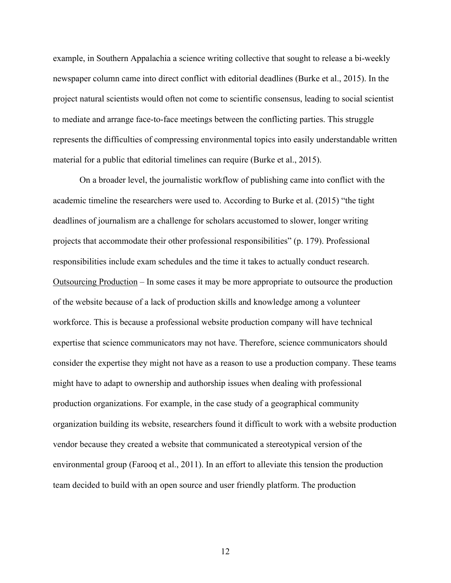example, in Southern Appalachia a science writing collective that sought to release a bi-weekly newspaper column came into direct conflict with editorial deadlines (Burke et al., 2015). In the project natural scientists would often not come to scientific consensus, leading to social scientist to mediate and arrange face-to-face meetings between the conflicting parties. This struggle represents the difficulties of compressing environmental topics into easily understandable written material for a public that editorial timelines can require (Burke et al., 2015).

On a broader level, the journalistic workflow of publishing came into conflict with the academic timeline the researchers were used to. According to Burke et al. (2015) "the tight deadlines of journalism are a challenge for scholars accustomed to slower, longer writing projects that accommodate their other professional responsibilities" (p. 179). Professional responsibilities include exam schedules and the time it takes to actually conduct research. Outsourcing Production – In some cases it may be more appropriate to outsource the production of the website because of a lack of production skills and knowledge among a volunteer workforce. This is because a professional website production company will have technical expertise that science communicators may not have. Therefore, science communicators should consider the expertise they might not have as a reason to use a production company. These teams might have to adapt to ownership and authorship issues when dealing with professional production organizations. For example, in the case study of a geographical community organization building its website, researchers found it difficult to work with a website production vendor because they created a website that communicated a stereotypical version of the environmental group (Farooq et al., 2011). In an effort to alleviate this tension the production team decided to build with an open source and user friendly platform. The production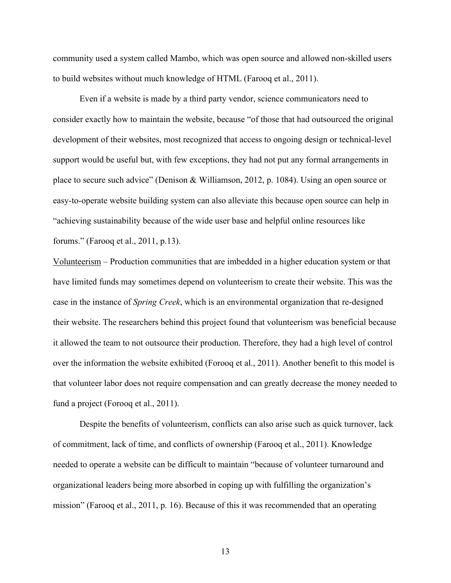community used a system called Mambo, which was open source and allowed non-skilled users to build websites without much knowledge of HTML (Farooq et al., 2011).

 Even if a website is made by a third party vendor, science communicators need to consider exactly how to maintain the website, because "of those that had outsourced the original development of their websites, most recognized that access to ongoing design or technical-level support would be useful but, with few exceptions, they had not put any formal arrangements in place to secure such advice" (Denison & Williamson, 2012, p. 1084). Using an open source or easy-to-operate website building system can also alleviate this because open source can help in "achieving sustainability because of the wide user base and helpful online resources like forums." (Farooq et al., 2011, p.13).

Volunteerism – Production communities that are imbedded in a higher education system or that have limited funds may sometimes depend on volunteerism to create their website. This was the case in the instance of *Spring Creek*, which is an environmental organization that re-designed their website. The researchers behind this project found that volunteerism was beneficial because it allowed the team to not outsource their production. Therefore, they had a high level of control over the information the website exhibited (Forooq et al., 2011). Another benefit to this model is that volunteer labor does not require compensation and can greatly decrease the money needed to fund a project (Forooq et al., 2011).

 Despite the benefits of volunteerism, conflicts can also arise such as quick turnover, lack of commitment, lack of time, and conflicts of ownership (Farooq et al., 2011). Knowledge needed to operate a website can be difficult to maintain "because of volunteer turnaround and organizational leaders being more absorbed in coping up with fulfilling the organization's mission" (Farooq et al., 2011, p. 16). Because of this it was recommended that an operating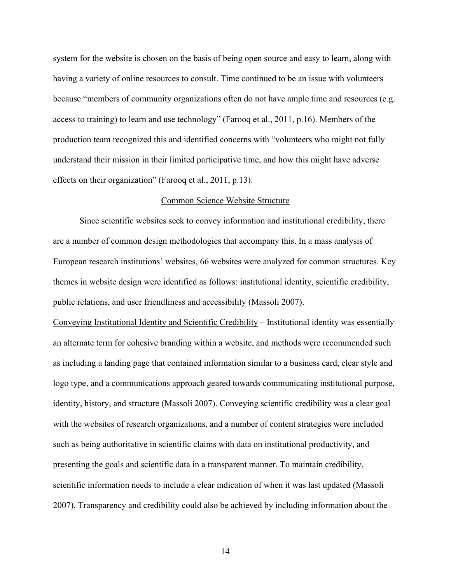system for the website is chosen on the basis of being open source and easy to learn, along with having a variety of online resources to consult. Time continued to be an issue with volunteers because "members of community organizations often do not have ample time and resources (e.g. access to training) to learn and use technology" (Farooq et al., 2011, p.16). Members of the production team recognized this and identified concerns with "volunteers who might not fully understand their mission in their limited participative time, and how this might have adverse effects on their organization" (Farooq et al., 2011, p.13).

### Common Science Website Structure

Since scientific websites seek to convey information and institutional credibility, there are a number of common design methodologies that accompany this. In a mass analysis of European research institutions' websites, 66 websites were analyzed for common structures. Key themes in website design were identified as follows: institutional identity, scientific credibility, public relations, and user friendliness and accessibility (Massoli 2007).

Conveying Institutional Identity and Scientific Credibility *–* Institutional identity was essentially an alternate term for cohesive branding within a website, and methods were recommended such as including a landing page that contained information similar to a business card, clear style and logo type, and a communications approach geared towards communicating institutional purpose, identity, history, and structure (Massoli 2007). Conveying scientific credibility was a clear goal with the websites of research organizations, and a number of content strategies were included such as being authoritative in scientific claims with data on institutional productivity, and presenting the goals and scientific data in a transparent manner. To maintain credibility, scientific information needs to include a clear indication of when it was last updated (Massoli 2007). Transparency and credibility could also be achieved by including information about the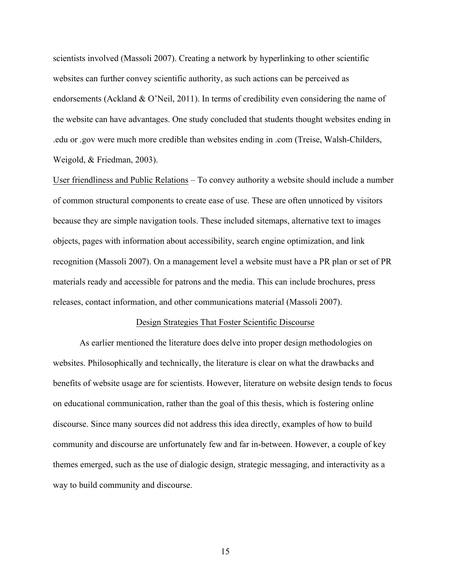scientists involved (Massoli 2007). Creating a network by hyperlinking to other scientific websites can further convey scientific authority, as such actions can be perceived as endorsements (Ackland  $& O'$ Neil, 2011). In terms of credibility even considering the name of the website can have advantages. One study concluded that students thought websites ending in .edu or .gov were much more credible than websites ending in .com (Treise, Walsh-Childers, Weigold, & Friedman, 2003).

User friendliness and Public Relations – To convey authority a website should include a number of common structural components to create ease of use. These are often unnoticed by visitors because they are simple navigation tools. These included sitemaps, alternative text to images objects, pages with information about accessibility, search engine optimization, and link recognition (Massoli 2007). On a management level a website must have a PR plan or set of PR materials ready and accessible for patrons and the media. This can include brochures, press releases, contact information, and other communications material (Massoli 2007).

# Design Strategies That Foster Scientific Discourse

As earlier mentioned the literature does delve into proper design methodologies on websites. Philosophically and technically, the literature is clear on what the drawbacks and benefits of website usage are for scientists. However, literature on website design tends to focus on educational communication, rather than the goal of this thesis, which is fostering online discourse. Since many sources did not address this idea directly, examples of how to build community and discourse are unfortunately few and far in-between. However, a couple of key themes emerged, such as the use of dialogic design, strategic messaging, and interactivity as a way to build community and discourse.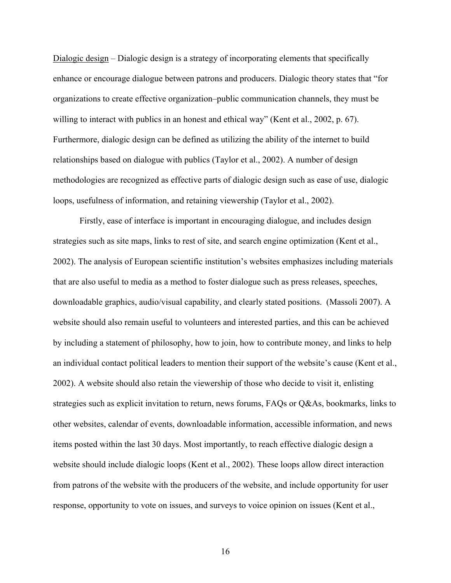Dialogic design – Dialogic design is a strategy of incorporating elements that specifically enhance or encourage dialogue between patrons and producers. Dialogic theory states that "for organizations to create effective organization–public communication channels, they must be willing to interact with publics in an honest and ethical way" (Kent et al., 2002, p. 67). Furthermore, dialogic design can be defined as utilizing the ability of the internet to build relationships based on dialogue with publics (Taylor et al., 2002). A number of design methodologies are recognized as effective parts of dialogic design such as ease of use, dialogic loops, usefulness of information, and retaining viewership (Taylor et al., 2002).

 Firstly, ease of interface is important in encouraging dialogue, and includes design strategies such as site maps, links to rest of site, and search engine optimization (Kent et al., 2002). The analysis of European scientific institution's websites emphasizes including materials that are also useful to media as a method to foster dialogue such as press releases, speeches, downloadable graphics, audio/visual capability, and clearly stated positions. (Massoli 2007). A website should also remain useful to volunteers and interested parties, and this can be achieved by including a statement of philosophy, how to join, how to contribute money, and links to help an individual contact political leaders to mention their support of the website's cause (Kent et al., 2002). A website should also retain the viewership of those who decide to visit it, enlisting strategies such as explicit invitation to return, news forums, FAQs or Q&As, bookmarks, links to other websites, calendar of events, downloadable information, accessible information, and news items posted within the last 30 days. Most importantly, to reach effective dialogic design a website should include dialogic loops (Kent et al., 2002). These loops allow direct interaction from patrons of the website with the producers of the website, and include opportunity for user response, opportunity to vote on issues, and surveys to voice opinion on issues (Kent et al.,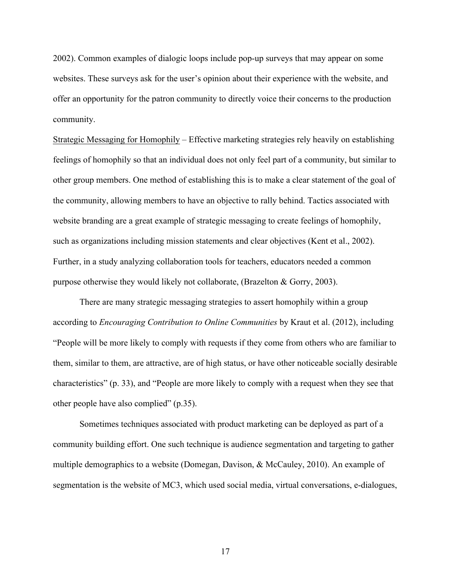2002). Common examples of dialogic loops include pop-up surveys that may appear on some websites. These surveys ask for the user's opinion about their experience with the website, and offer an opportunity for the patron community to directly voice their concerns to the production community.

Strategic Messaging for Homophily *–* Effective marketing strategies rely heavily on establishing feelings of homophily so that an individual does not only feel part of a community, but similar to other group members. One method of establishing this is to make a clear statement of the goal of the community, allowing members to have an objective to rally behind. Tactics associated with website branding are a great example of strategic messaging to create feelings of homophily, such as organizations including mission statements and clear objectives (Kent et al., 2002). Further, in a study analyzing collaboration tools for teachers, educators needed a common purpose otherwise they would likely not collaborate, (Brazelton & Gorry, 2003).

 There are many strategic messaging strategies to assert homophily within a group according to *Encouraging Contribution to Online Communities* by Kraut et al. (2012), including "People will be more likely to comply with requests if they come from others who are familiar to them, similar to them, are attractive, are of high status, or have other noticeable socially desirable characteristics" (p. 33), and "People are more likely to comply with a request when they see that other people have also complied" (p.35).

 Sometimes techniques associated with product marketing can be deployed as part of a community building effort. One such technique is audience segmentation and targeting to gather multiple demographics to a website (Domegan, Davison, & McCauley, 2010). An example of segmentation is the website of MC3, which used social media, virtual conversations, e-dialogues,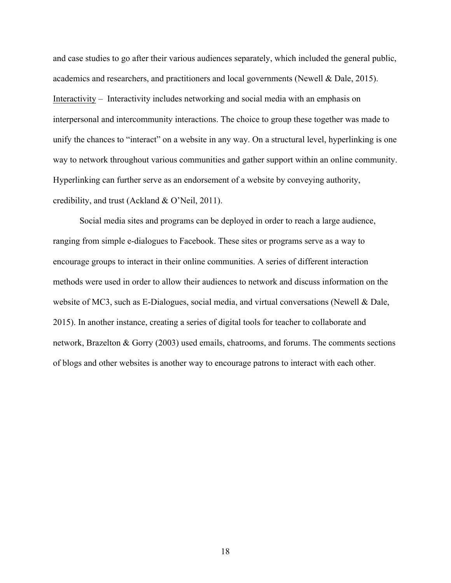and case studies to go after their various audiences separately, which included the general public, academics and researchers, and practitioners and local governments (Newell & Dale, 2015). Interactivity – Interactivity includes networking and social media with an emphasis on interpersonal and intercommunity interactions. The choice to group these together was made to unify the chances to "interact" on a website in any way. On a structural level, hyperlinking is one way to network throughout various communities and gather support within an online community. Hyperlinking can further serve as an endorsement of a website by conveying authority, credibility, and trust (Ackland & O'Neil, 2011).

Social media sites and programs can be deployed in order to reach a large audience, ranging from simple e-dialogues to Facebook. These sites or programs serve as a way to encourage groups to interact in their online communities. A series of different interaction methods were used in order to allow their audiences to network and discuss information on the website of MC3, such as E-Dialogues, social media, and virtual conversations (Newell & Dale, 2015). In another instance, creating a series of digital tools for teacher to collaborate and network, Brazelton & Gorry (2003) used emails, chatrooms, and forums. The comments sections of blogs and other websites is another way to encourage patrons to interact with each other.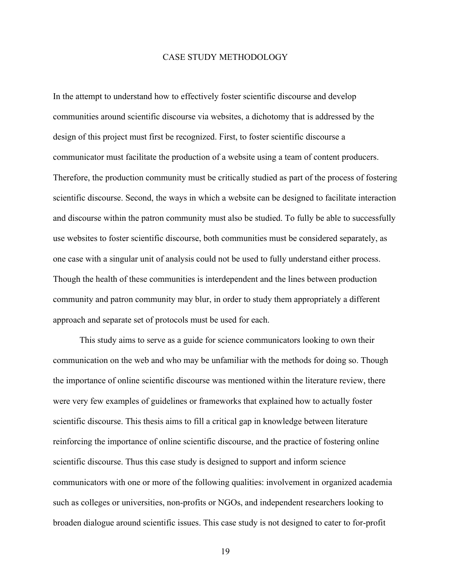#### CASE STUDY METHODOLOGY

In the attempt to understand how to effectively foster scientific discourse and develop communities around scientific discourse via websites, a dichotomy that is addressed by the design of this project must first be recognized. First, to foster scientific discourse a communicator must facilitate the production of a website using a team of content producers. Therefore, the production community must be critically studied as part of the process of fostering scientific discourse. Second, the ways in which a website can be designed to facilitate interaction and discourse within the patron community must also be studied. To fully be able to successfully use websites to foster scientific discourse, both communities must be considered separately, as one case with a singular unit of analysis could not be used to fully understand either process. Though the health of these communities is interdependent and the lines between production community and patron community may blur, in order to study them appropriately a different approach and separate set of protocols must be used for each.

This study aims to serve as a guide for science communicators looking to own their communication on the web and who may be unfamiliar with the methods for doing so. Though the importance of online scientific discourse was mentioned within the literature review, there were very few examples of guidelines or frameworks that explained how to actually foster scientific discourse. This thesis aims to fill a critical gap in knowledge between literature reinforcing the importance of online scientific discourse, and the practice of fostering online scientific discourse. Thus this case study is designed to support and inform science communicators with one or more of the following qualities: involvement in organized academia such as colleges or universities, non-profits or NGOs, and independent researchers looking to broaden dialogue around scientific issues. This case study is not designed to cater to for-profit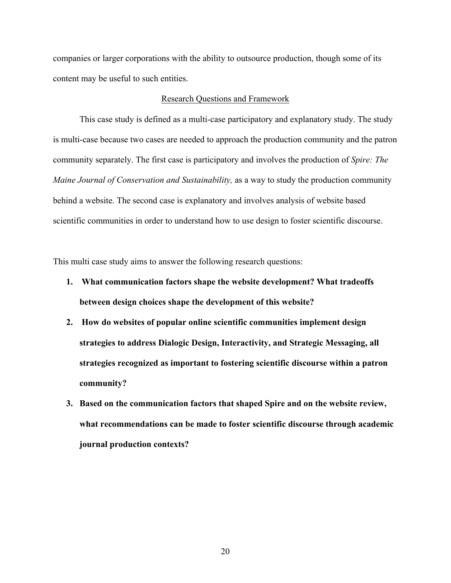companies or larger corporations with the ability to outsource production, though some of its content may be useful to such entities.

#### Research Questions and Framework

 This case study is defined as a multi-case participatory and explanatory study. The study is multi-case because two cases are needed to approach the production community and the patron community separately. The first case is participatory and involves the production of *Spire: The Maine Journal of Conservation and Sustainability,* as a way to study the production community behind a website. The second case is explanatory and involves analysis of website based scientific communities in order to understand how to use design to foster scientific discourse.

This multi case study aims to answer the following research questions:

- **1. What communication factors shape the website development? What tradeoffs between design choices shape the development of this website?**
- **2. How do websites of popular online scientific communities implement design strategies to address Dialogic Design, Interactivity, and Strategic Messaging, all strategies recognized as important to fostering scientific discourse within a patron community?**
- **3. Based on the communication factors that shaped Spire and on the website review, what recommendations can be made to foster scientific discourse through academic journal production contexts?**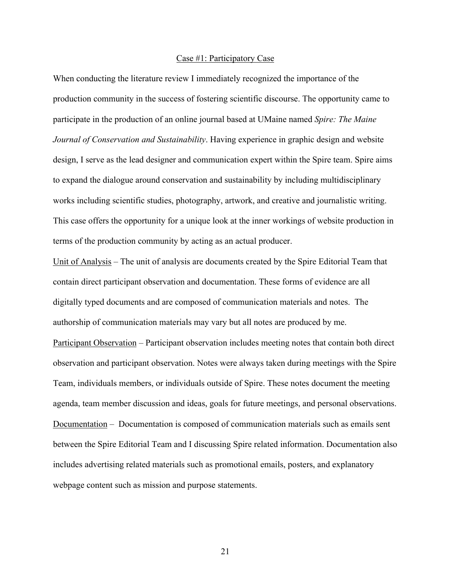#### Case #1: Participatory Case

When conducting the literature review I immediately recognized the importance of the production community in the success of fostering scientific discourse. The opportunity came to participate in the production of an online journal based at UMaine named *Spire: The Maine Journal of Conservation and Sustainability*. Having experience in graphic design and website design, I serve as the lead designer and communication expert within the Spire team. Spire aims to expand the dialogue around conservation and sustainability by including multidisciplinary works including scientific studies, photography, artwork, and creative and journalistic writing. This case offers the opportunity for a unique look at the inner workings of website production in terms of the production community by acting as an actual producer.

Unit of Analysis *–* The unit of analysis are documents created by the Spire Editorial Team that contain direct participant observation and documentation. These forms of evidence are all digitally typed documents and are composed of communication materials and notes. The authorship of communication materials may vary but all notes are produced by me. Participant Observation – Participant observation includes meeting notes that contain both direct observation and participant observation. Notes were always taken during meetings with the Spire Team, individuals members, or individuals outside of Spire. These notes document the meeting agenda, team member discussion and ideas, goals for future meetings, and personal observations. Documentation – Documentation is composed of communication materials such as emails sent between the Spire Editorial Team and I discussing Spire related information. Documentation also includes advertising related materials such as promotional emails, posters, and explanatory webpage content such as mission and purpose statements.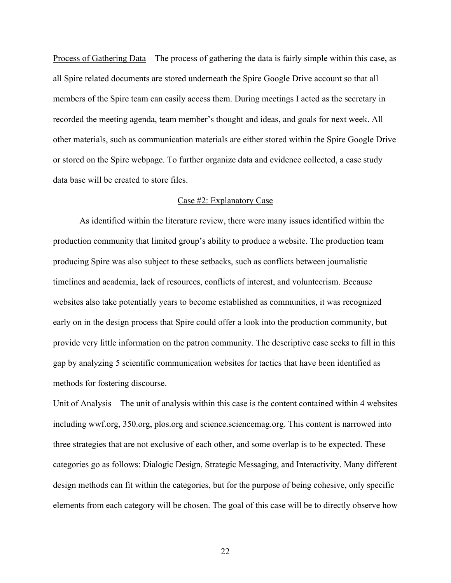Process of Gathering Data – The process of gathering the data is fairly simple within this case, as all Spire related documents are stored underneath the Spire Google Drive account so that all members of the Spire team can easily access them. During meetings I acted as the secretary in recorded the meeting agenda, team member's thought and ideas, and goals for next week. All other materials, such as communication materials are either stored within the Spire Google Drive or stored on the Spire webpage. To further organize data and evidence collected, a case study data base will be created to store files.

### Case #2: Explanatory Case

As identified within the literature review, there were many issues identified within the production community that limited group's ability to produce a website. The production team producing Spire was also subject to these setbacks, such as conflicts between journalistic timelines and academia, lack of resources, conflicts of interest, and volunteerism. Because websites also take potentially years to become established as communities, it was recognized early on in the design process that Spire could offer a look into the production community, but provide very little information on the patron community. The descriptive case seeks to fill in this gap by analyzing 5 scientific communication websites for tactics that have been identified as methods for fostering discourse.

Unit of Analysis – The unit of analysis within this case is the content contained within 4 websites including wwf.org, 350.org, plos.org and science.sciencemag.org. This content is narrowed into three strategies that are not exclusive of each other, and some overlap is to be expected. These categories go as follows: Dialogic Design, Strategic Messaging, and Interactivity. Many different design methods can fit within the categories, but for the purpose of being cohesive, only specific elements from each category will be chosen. The goal of this case will be to directly observe how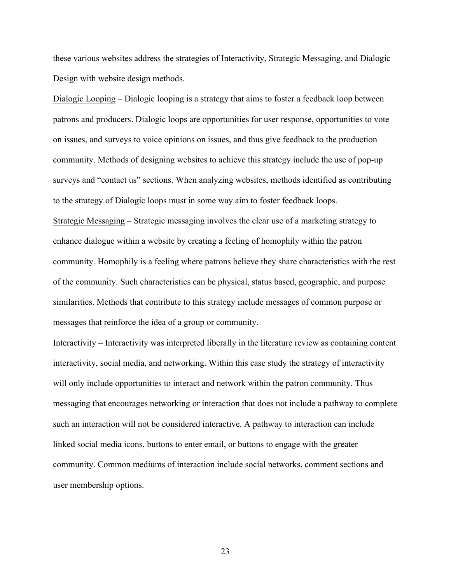these various websites address the strategies of Interactivity, Strategic Messaging, and Dialogic Design with website design methods.

Dialogic Looping – Dialogic looping is a strategy that aims to foster a feedback loop between patrons and producers. Dialogic loops are opportunities for user response, opportunities to vote on issues, and surveys to voice opinions on issues, and thus give feedback to the production community. Methods of designing websites to achieve this strategy include the use of pop-up surveys and "contact us" sections. When analyzing websites, methods identified as contributing to the strategy of Dialogic loops must in some way aim to foster feedback loops. Strategic Messaging – Strategic messaging involves the clear use of a marketing strategy to enhance dialogue within a website by creating a feeling of homophily within the patron community. Homophily is a feeling where patrons believe they share characteristics with the rest of the community. Such characteristics can be physical, status based, geographic, and purpose similarities. Methods that contribute to this strategy include messages of common purpose or messages that reinforce the idea of a group or community.

Interactivity – Interactivity was interpreted liberally in the literature review as containing content interactivity, social media, and networking. Within this case study the strategy of interactivity will only include opportunities to interact and network within the patron community. Thus messaging that encourages networking or interaction that does not include a pathway to complete such an interaction will not be considered interactive. A pathway to interaction can include linked social media icons, buttons to enter email, or buttons to engage with the greater community. Common mediums of interaction include social networks, comment sections and user membership options.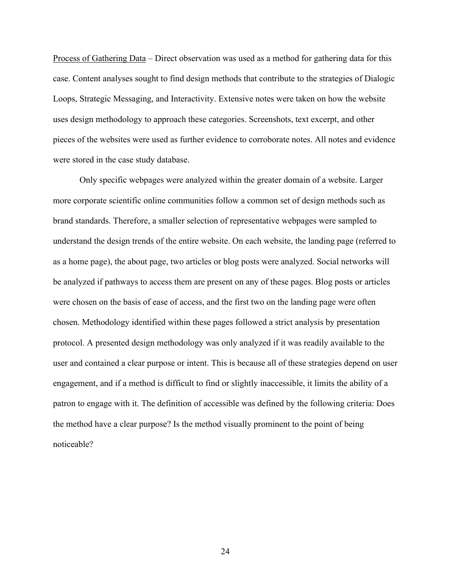Process of Gathering Data *–* Direct observation was used as a method for gathering data for this case. Content analyses sought to find design methods that contribute to the strategies of Dialogic Loops, Strategic Messaging, and Interactivity. Extensive notes were taken on how the website uses design methodology to approach these categories. Screenshots, text excerpt, and other pieces of the websites were used as further evidence to corroborate notes. All notes and evidence were stored in the case study database.

Only specific webpages were analyzed within the greater domain of a website. Larger more corporate scientific online communities follow a common set of design methods such as brand standards. Therefore, a smaller selection of representative webpages were sampled to understand the design trends of the entire website. On each website, the landing page (referred to as a home page), the about page, two articles or blog posts were analyzed. Social networks will be analyzed if pathways to access them are present on any of these pages. Blog posts or articles were chosen on the basis of ease of access, and the first two on the landing page were often chosen. Methodology identified within these pages followed a strict analysis by presentation protocol. A presented design methodology was only analyzed if it was readily available to the user and contained a clear purpose or intent. This is because all of these strategies depend on user engagement, and if a method is difficult to find or slightly inaccessible, it limits the ability of a patron to engage with it. The definition of accessible was defined by the following criteria: Does the method have a clear purpose? Is the method visually prominent to the point of being noticeable?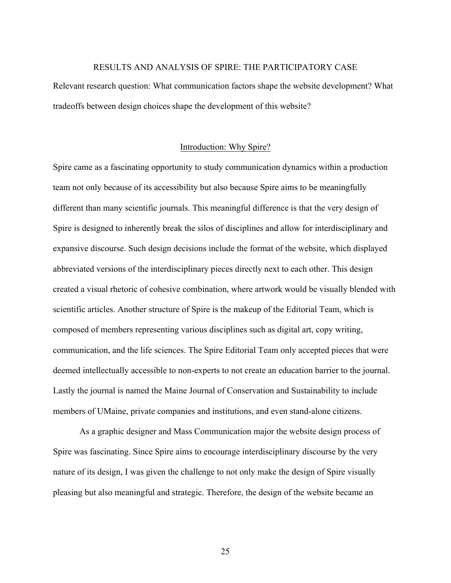# RESULTS AND ANALYSIS OF SPIRE: THE PARTICIPATORY CASE

Relevant research question: What communication factors shape the website development? What tradeoffs between design choices shape the development of this website?

# Introduction: Why Spire?

Spire came as a fascinating opportunity to study communication dynamics within a production team not only because of its accessibility but also because Spire aims to be meaningfully different than many scientific journals. This meaningful difference is that the very design of Spire is designed to inherently break the silos of disciplines and allow for interdisciplinary and expansive discourse. Such design decisions include the format of the website, which displayed abbreviated versions of the interdisciplinary pieces directly next to each other. This design created a visual rhetoric of cohesive combination, where artwork would be visually blended with scientific articles. Another structure of Spire is the makeup of the Editorial Team, which is composed of members representing various disciplines such as digital art, copy writing, communication, and the life sciences. The Spire Editorial Team only accepted pieces that were deemed intellectually accessible to non-experts to not create an education barrier to the journal. Lastly the journal is named the Maine Journal of Conservation and Sustainability to include members of UMaine, private companies and institutions, and even stand-alone citizens.

As a graphic designer and Mass Communication major the website design process of Spire was fascinating. Since Spire aims to encourage interdisciplinary discourse by the very nature of its design, I was given the challenge to not only make the design of Spire visually pleasing but also meaningful and strategic. Therefore, the design of the website became an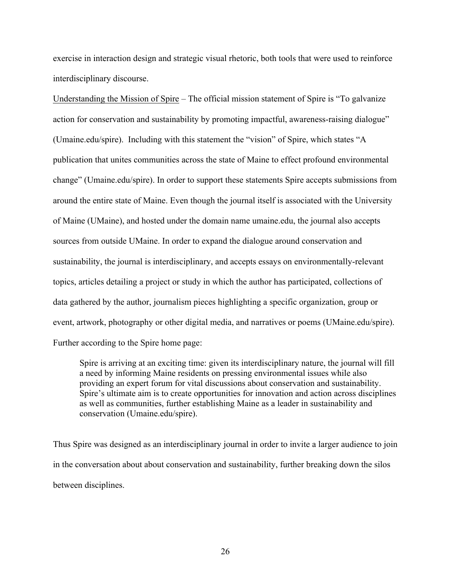exercise in interaction design and strategic visual rhetoric, both tools that were used to reinforce interdisciplinary discourse.

Understanding the Mission of Spire – The official mission statement of Spire is "To galvanize action for conservation and sustainability by promoting impactful, awareness-raising dialogue" (Umaine.edu/spire). Including with this statement the "vision" of Spire, which states "A publication that unites communities across the state of Maine to effect profound environmental change" (Umaine.edu/spire). In order to support these statements Spire accepts submissions from around the entire state of Maine. Even though the journal itself is associated with the University of Maine (UMaine), and hosted under the domain name umaine.edu, the journal also accepts sources from outside UMaine. In order to expand the dialogue around conservation and sustainability, the journal is interdisciplinary, and accepts essays on environmentally-relevant topics, articles detailing a project or study in which the author has participated, collections of data gathered by the author, journalism pieces highlighting a specific organization, group or event, artwork, photography or other digital media, and narratives or poems (UMaine.edu/spire). Further according to the Spire home page:

Spire is arriving at an exciting time: given its interdisciplinary nature, the journal will fill a need by informing Maine residents on pressing environmental issues while also providing an expert forum for vital discussions about conservation and sustainability. Spire's ultimate aim is to create opportunities for innovation and action across disciplines as well as communities, further establishing Maine as a leader in sustainability and conservation (Umaine.edu/spire).

Thus Spire was designed as an interdisciplinary journal in order to invite a larger audience to join in the conversation about about conservation and sustainability, further breaking down the silos between disciplines.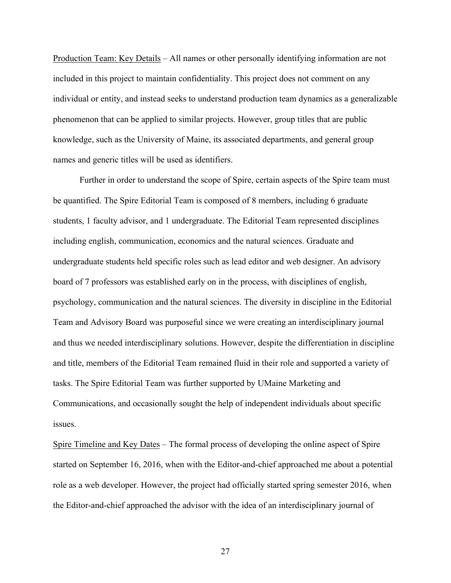Production Team: Key Details *–* All names or other personally identifying information are not included in this project to maintain confidentiality. This project does not comment on any individual or entity, and instead seeks to understand production team dynamics as a generalizable phenomenon that can be applied to similar projects. However, group titles that are public knowledge, such as the University of Maine, its associated departments, and general group names and generic titles will be used as identifiers.

Further in order to understand the scope of Spire, certain aspects of the Spire team must be quantified. The Spire Editorial Team is composed of 8 members, including 6 graduate students, 1 faculty advisor, and 1 undergraduate. The Editorial Team represented disciplines including english, communication, economics and the natural sciences. Graduate and undergraduate students held specific roles such as lead editor and web designer. An advisory board of 7 professors was established early on in the process, with disciplines of english, psychology, communication and the natural sciences. The diversity in discipline in the Editorial Team and Advisory Board was purposeful since we were creating an interdisciplinary journal and thus we needed interdisciplinary solutions. However, despite the differentiation in discipline and title, members of the Editorial Team remained fluid in their role and supported a variety of tasks. The Spire Editorial Team was further supported by UMaine Marketing and Communications, and occasionally sought the help of independent individuals about specific issues.

Spire Timeline and Key Dates *–* The formal process of developing the online aspect of Spire started on September 16, 2016, when with the Editor-and-chief approached me about a potential role as a web developer. However, the project had officially started spring semester 2016, when the Editor-and-chief approached the advisor with the idea of an interdisciplinary journal of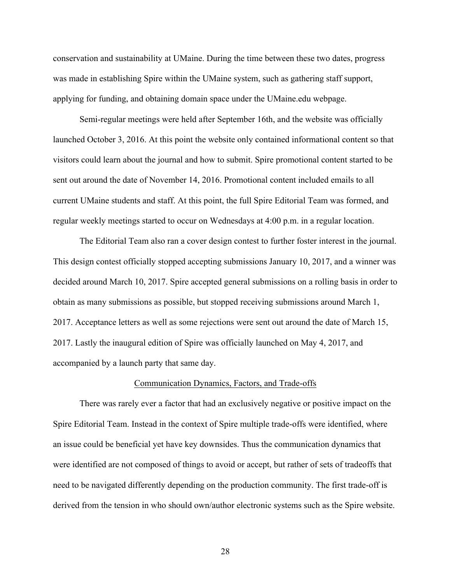conservation and sustainability at UMaine. During the time between these two dates, progress was made in establishing Spire within the UMaine system, such as gathering staff support, applying for funding, and obtaining domain space under the UMaine.edu webpage.

Semi-regular meetings were held after September 16th, and the website was officially launched October 3, 2016. At this point the website only contained informational content so that visitors could learn about the journal and how to submit. Spire promotional content started to be sent out around the date of November 14, 2016. Promotional content included emails to all current UMaine students and staff. At this point, the full Spire Editorial Team was formed, and regular weekly meetings started to occur on Wednesdays at 4:00 p.m. in a regular location.

The Editorial Team also ran a cover design contest to further foster interest in the journal. This design contest officially stopped accepting submissions January 10, 2017, and a winner was decided around March 10, 2017. Spire accepted general submissions on a rolling basis in order to obtain as many submissions as possible, but stopped receiving submissions around March 1, 2017. Acceptance letters as well as some rejections were sent out around the date of March 15, 2017. Lastly the inaugural edition of Spire was officially launched on May 4, 2017, and accompanied by a launch party that same day.

# Communication Dynamics, Factors, and Trade-offs

There was rarely ever a factor that had an exclusively negative or positive impact on the Spire Editorial Team. Instead in the context of Spire multiple trade-offs were identified, where an issue could be beneficial yet have key downsides. Thus the communication dynamics that were identified are not composed of things to avoid or accept, but rather of sets of tradeoffs that need to be navigated differently depending on the production community. The first trade-off is derived from the tension in who should own/author electronic systems such as the Spire website.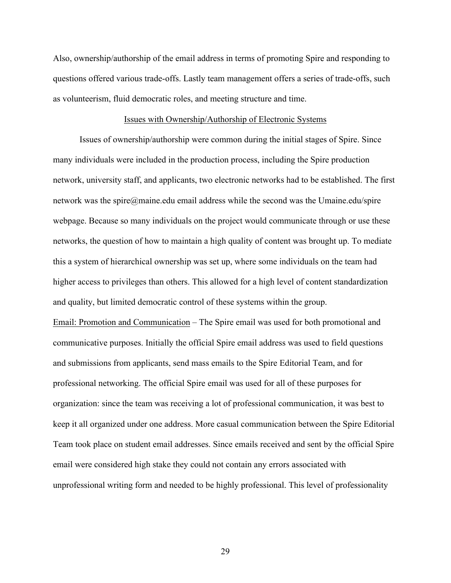Also, ownership/authorship of the email address in terms of promoting Spire and responding to questions offered various trade-offs. Lastly team management offers a series of trade-offs, such as volunteerism, fluid democratic roles, and meeting structure and time.

#### Issues with Ownership/Authorship of Electronic Systems

Issues of ownership/authorship were common during the initial stages of Spire. Since many individuals were included in the production process, including the Spire production network, university staff, and applicants, two electronic networks had to be established. The first network was the spire@maine.edu email address while the second was the Umaine.edu/spire webpage. Because so many individuals on the project would communicate through or use these networks, the question of how to maintain a high quality of content was brought up. To mediate this a system of hierarchical ownership was set up, where some individuals on the team had higher access to privileges than others. This allowed for a high level of content standardization and quality, but limited democratic control of these systems within the group. Email: Promotion and Communication – The Spire email was used for both promotional and communicative purposes. Initially the official Spire email address was used to field questions and submissions from applicants, send mass emails to the Spire Editorial Team, and for professional networking. The official Spire email was used for all of these purposes for organization: since the team was receiving a lot of professional communication, it was best to keep it all organized under one address. More casual communication between the Spire Editorial Team took place on student email addresses. Since emails received and sent by the official Spire email were considered high stake they could not contain any errors associated with unprofessional writing form and needed to be highly professional. This level of professionality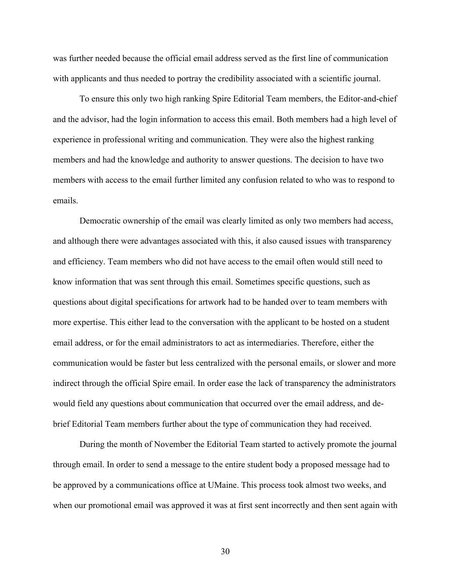was further needed because the official email address served as the first line of communication with applicants and thus needed to portray the credibility associated with a scientific journal.

To ensure this only two high ranking Spire Editorial Team members, the Editor-and-chief and the advisor, had the login information to access this email. Both members had a high level of experience in professional writing and communication. They were also the highest ranking members and had the knowledge and authority to answer questions. The decision to have two members with access to the email further limited any confusion related to who was to respond to emails.

Democratic ownership of the email was clearly limited as only two members had access, and although there were advantages associated with this, it also caused issues with transparency and efficiency. Team members who did not have access to the email often would still need to know information that was sent through this email. Sometimes specific questions, such as questions about digital specifications for artwork had to be handed over to team members with more expertise. This either lead to the conversation with the applicant to be hosted on a student email address, or for the email administrators to act as intermediaries. Therefore, either the communication would be faster but less centralized with the personal emails, or slower and more indirect through the official Spire email. In order ease the lack of transparency the administrators would field any questions about communication that occurred over the email address, and debrief Editorial Team members further about the type of communication they had received.

During the month of November the Editorial Team started to actively promote the journal through email. In order to send a message to the entire student body a proposed message had to be approved by a communications office at UMaine. This process took almost two weeks, and when our promotional email was approved it was at first sent incorrectly and then sent again with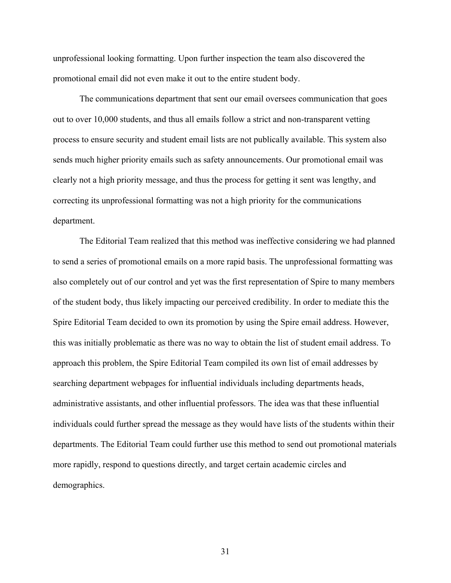unprofessional looking formatting. Upon further inspection the team also discovered the promotional email did not even make it out to the entire student body.

The communications department that sent our email oversees communication that goes out to over 10,000 students, and thus all emails follow a strict and non-transparent vetting process to ensure security and student email lists are not publically available. This system also sends much higher priority emails such as safety announcements. Our promotional email was clearly not a high priority message, and thus the process for getting it sent was lengthy, and correcting its unprofessional formatting was not a high priority for the communications department.

The Editorial Team realized that this method was ineffective considering we had planned to send a series of promotional emails on a more rapid basis. The unprofessional formatting was also completely out of our control and yet was the first representation of Spire to many members of the student body, thus likely impacting our perceived credibility. In order to mediate this the Spire Editorial Team decided to own its promotion by using the Spire email address. However, this was initially problematic as there was no way to obtain the list of student email address. To approach this problem, the Spire Editorial Team compiled its own list of email addresses by searching department webpages for influential individuals including departments heads, administrative assistants, and other influential professors. The idea was that these influential individuals could further spread the message as they would have lists of the students within their departments. The Editorial Team could further use this method to send out promotional materials more rapidly, respond to questions directly, and target certain academic circles and demographics.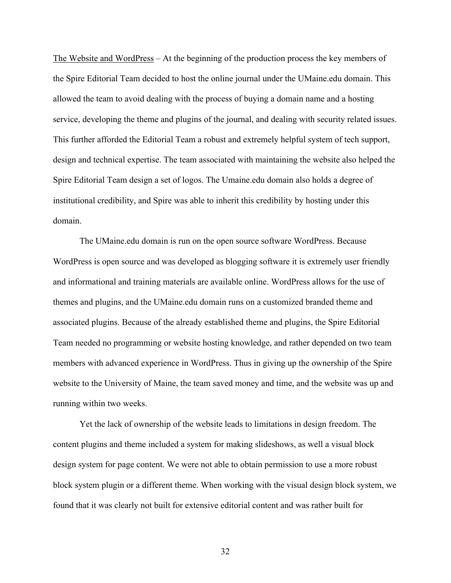The Website and WordPress *–* At the beginning of the production process the key members of the Spire Editorial Team decided to host the online journal under the UMaine.edu domain. This allowed the team to avoid dealing with the process of buying a domain name and a hosting service, developing the theme and plugins of the journal, and dealing with security related issues. This further afforded the Editorial Team a robust and extremely helpful system of tech support, design and technical expertise. The team associated with maintaining the website also helped the Spire Editorial Team design a set of logos. The Umaine.edu domain also holds a degree of institutional credibility, and Spire was able to inherit this credibility by hosting under this domain.

The UMaine.edu domain is run on the open source software WordPress. Because WordPress is open source and was developed as blogging software it is extremely user friendly and informational and training materials are available online. WordPress allows for the use of themes and plugins, and the UMaine.edu domain runs on a customized branded theme and associated plugins. Because of the already established theme and plugins, the Spire Editorial Team needed no programming or website hosting knowledge, and rather depended on two team members with advanced experience in WordPress. Thus in giving up the ownership of the Spire website to the University of Maine, the team saved money and time, and the website was up and running within two weeks.

Yet the lack of ownership of the website leads to limitations in design freedom. The content plugins and theme included a system for making slideshows, as well a visual block design system for page content. We were not able to obtain permission to use a more robust block system plugin or a different theme. When working with the visual design block system, we found that it was clearly not built for extensive editorial content and was rather built for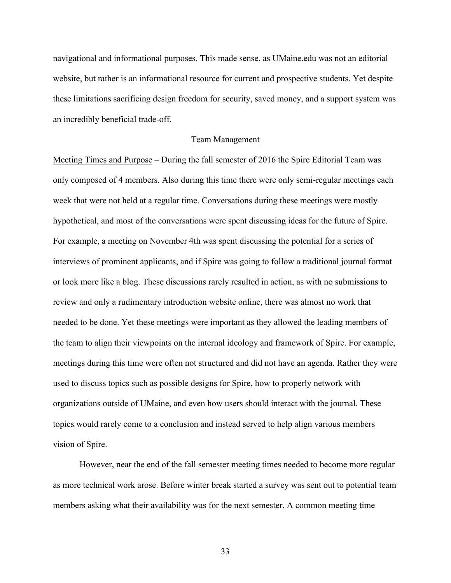navigational and informational purposes. This made sense, as UMaine.edu was not an editorial website, but rather is an informational resource for current and prospective students. Yet despite these limitations sacrificing design freedom for security, saved money, and a support system was an incredibly beneficial trade-off.

#### Team Management

Meeting Times and Purpose *–* During the fall semester of 2016 the Spire Editorial Team was only composed of 4 members. Also during this time there were only semi-regular meetings each week that were not held at a regular time. Conversations during these meetings were mostly hypothetical, and most of the conversations were spent discussing ideas for the future of Spire. For example, a meeting on November 4th was spent discussing the potential for a series of interviews of prominent applicants, and if Spire was going to follow a traditional journal format or look more like a blog. These discussions rarely resulted in action, as with no submissions to review and only a rudimentary introduction website online, there was almost no work that needed to be done. Yet these meetings were important as they allowed the leading members of the team to align their viewpoints on the internal ideology and framework of Spire. For example, meetings during this time were often not structured and did not have an agenda. Rather they were used to discuss topics such as possible designs for Spire, how to properly network with organizations outside of UMaine, and even how users should interact with the journal. These topics would rarely come to a conclusion and instead served to help align various members vision of Spire.

However, near the end of the fall semester meeting times needed to become more regular as more technical work arose. Before winter break started a survey was sent out to potential team members asking what their availability was for the next semester. A common meeting time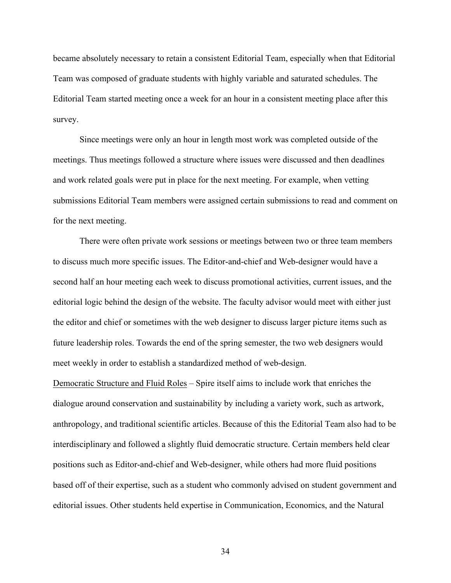became absolutely necessary to retain a consistent Editorial Team, especially when that Editorial Team was composed of graduate students with highly variable and saturated schedules. The Editorial Team started meeting once a week for an hour in a consistent meeting place after this survey.

Since meetings were only an hour in length most work was completed outside of the meetings. Thus meetings followed a structure where issues were discussed and then deadlines and work related goals were put in place for the next meeting. For example, when vetting submissions Editorial Team members were assigned certain submissions to read and comment on for the next meeting.

There were often private work sessions or meetings between two or three team members to discuss much more specific issues. The Editor-and-chief and Web-designer would have a second half an hour meeting each week to discuss promotional activities, current issues, and the editorial logic behind the design of the website. The faculty advisor would meet with either just the editor and chief or sometimes with the web designer to discuss larger picture items such as future leadership roles. Towards the end of the spring semester, the two web designers would meet weekly in order to establish a standardized method of web-design.

Democratic Structure and Fluid Roles *–* Spire itself aims to include work that enriches the dialogue around conservation and sustainability by including a variety work, such as artwork, anthropology, and traditional scientific articles. Because of this the Editorial Team also had to be interdisciplinary and followed a slightly fluid democratic structure. Certain members held clear positions such as Editor-and-chief and Web-designer, while others had more fluid positions based off of their expertise, such as a student who commonly advised on student government and editorial issues. Other students held expertise in Communication, Economics, and the Natural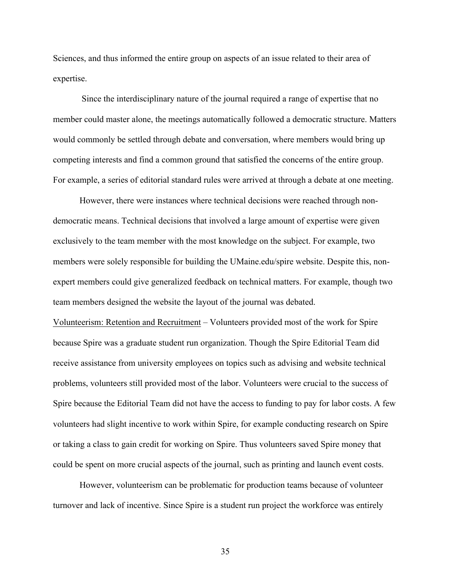Sciences, and thus informed the entire group on aspects of an issue related to their area of expertise.

Since the interdisciplinary nature of the journal required a range of expertise that no member could master alone, the meetings automatically followed a democratic structure. Matters would commonly be settled through debate and conversation, where members would bring up competing interests and find a common ground that satisfied the concerns of the entire group. For example, a series of editorial standard rules were arrived at through a debate at one meeting.

However, there were instances where technical decisions were reached through nondemocratic means. Technical decisions that involved a large amount of expertise were given exclusively to the team member with the most knowledge on the subject. For example, two members were solely responsible for building the UMaine.edu/spire website. Despite this, nonexpert members could give generalized feedback on technical matters. For example, though two team members designed the website the layout of the journal was debated.

Volunteerism: Retention and Recruitment *–* Volunteers provided most of the work for Spire because Spire was a graduate student run organization. Though the Spire Editorial Team did receive assistance from university employees on topics such as advising and website technical problems, volunteers still provided most of the labor. Volunteers were crucial to the success of Spire because the Editorial Team did not have the access to funding to pay for labor costs. A few volunteers had slight incentive to work within Spire, for example conducting research on Spire or taking a class to gain credit for working on Spire. Thus volunteers saved Spire money that could be spent on more crucial aspects of the journal, such as printing and launch event costs.

However, volunteerism can be problematic for production teams because of volunteer turnover and lack of incentive. Since Spire is a student run project the workforce was entirely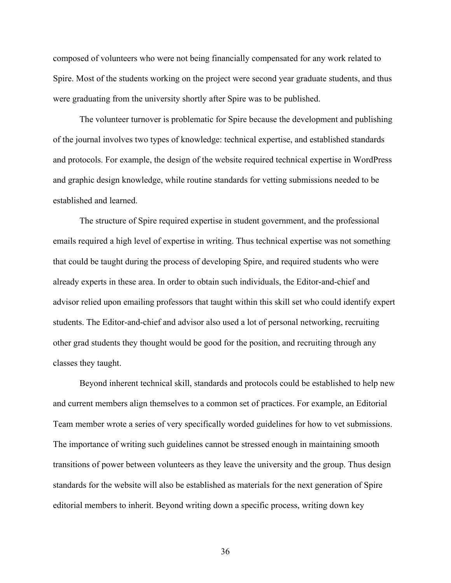composed of volunteers who were not being financially compensated for any work related to Spire. Most of the students working on the project were second year graduate students, and thus were graduating from the university shortly after Spire was to be published.

The volunteer turnover is problematic for Spire because the development and publishing of the journal involves two types of knowledge: technical expertise, and established standards and protocols. For example, the design of the website required technical expertise in WordPress and graphic design knowledge, while routine standards for vetting submissions needed to be established and learned.

The structure of Spire required expertise in student government, and the professional emails required a high level of expertise in writing. Thus technical expertise was not something that could be taught during the process of developing Spire, and required students who were already experts in these area. In order to obtain such individuals, the Editor-and-chief and advisor relied upon emailing professors that taught within this skill set who could identify expert students. The Editor-and-chief and advisor also used a lot of personal networking, recruiting other grad students they thought would be good for the position, and recruiting through any classes they taught.

Beyond inherent technical skill, standards and protocols could be established to help new and current members align themselves to a common set of practices. For example, an Editorial Team member wrote a series of very specifically worded guidelines for how to vet submissions. The importance of writing such guidelines cannot be stressed enough in maintaining smooth transitions of power between volunteers as they leave the university and the group. Thus design standards for the website will also be established as materials for the next generation of Spire editorial members to inherit. Beyond writing down a specific process, writing down key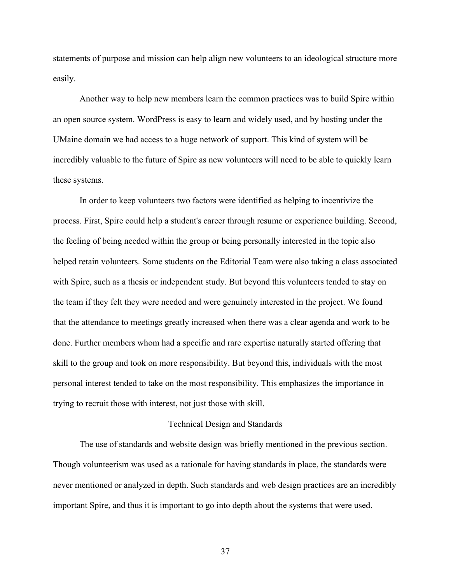statements of purpose and mission can help align new volunteers to an ideological structure more easily.

Another way to help new members learn the common practices was to build Spire within an open source system. WordPress is easy to learn and widely used, and by hosting under the UMaine domain we had access to a huge network of support. This kind of system will be incredibly valuable to the future of Spire as new volunteers will need to be able to quickly learn these systems.

In order to keep volunteers two factors were identified as helping to incentivize the process. First, Spire could help a student's career through resume or experience building. Second, the feeling of being needed within the group or being personally interested in the topic also helped retain volunteers. Some students on the Editorial Team were also taking a class associated with Spire, such as a thesis or independent study. But beyond this volunteers tended to stay on the team if they felt they were needed and were genuinely interested in the project. We found that the attendance to meetings greatly increased when there was a clear agenda and work to be done. Further members whom had a specific and rare expertise naturally started offering that skill to the group and took on more responsibility. But beyond this, individuals with the most personal interest tended to take on the most responsibility. This emphasizes the importance in trying to recruit those with interest, not just those with skill.

#### Technical Design and Standards

The use of standards and website design was briefly mentioned in the previous section. Though volunteerism was used as a rationale for having standards in place, the standards were never mentioned or analyzed in depth. Such standards and web design practices are an incredibly important Spire, and thus it is important to go into depth about the systems that were used.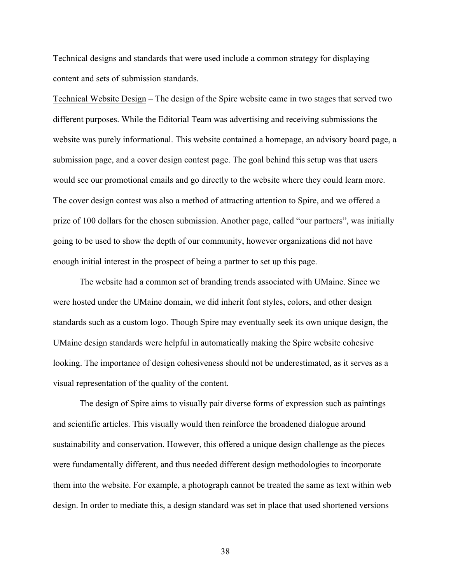Technical designs and standards that were used include a common strategy for displaying content and sets of submission standards.

Technical Website Design – The design of the Spire website came in two stages that served two different purposes. While the Editorial Team was advertising and receiving submissions the website was purely informational. This website contained a homepage, an advisory board page, a submission page, and a cover design contest page. The goal behind this setup was that users would see our promotional emails and go directly to the website where they could learn more. The cover design contest was also a method of attracting attention to Spire, and we offered a prize of 100 dollars for the chosen submission. Another page, called "our partners", was initially going to be used to show the depth of our community, however organizations did not have enough initial interest in the prospect of being a partner to set up this page.

The website had a common set of branding trends associated with UMaine. Since we were hosted under the UMaine domain, we did inherit font styles, colors, and other design standards such as a custom logo. Though Spire may eventually seek its own unique design, the UMaine design standards were helpful in automatically making the Spire website cohesive looking. The importance of design cohesiveness should not be underestimated, as it serves as a visual representation of the quality of the content.

The design of Spire aims to visually pair diverse forms of expression such as paintings and scientific articles. This visually would then reinforce the broadened dialogue around sustainability and conservation. However, this offered a unique design challenge as the pieces were fundamentally different, and thus needed different design methodologies to incorporate them into the website. For example, a photograph cannot be treated the same as text within web design. In order to mediate this, a design standard was set in place that used shortened versions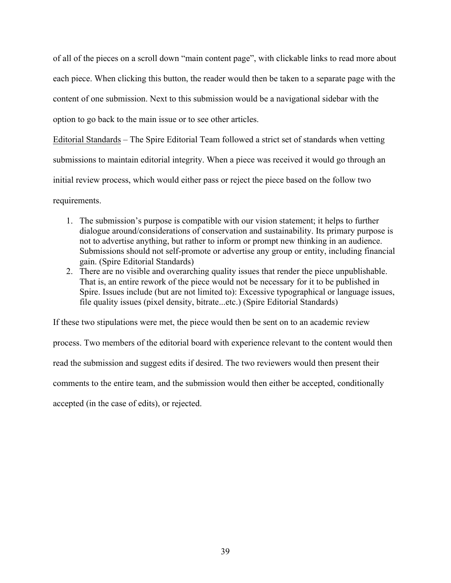of all of the pieces on a scroll down "main content page", with clickable links to read more about each piece. When clicking this button, the reader would then be taken to a separate page with the content of one submission. Next to this submission would be a navigational sidebar with the option to go back to the main issue or to see other articles.

Editorial Standards *–* The Spire Editorial Team followed a strict set of standards when vetting submissions to maintain editorial integrity. When a piece was received it would go through an initial review process, which would either pass or reject the piece based on the follow two requirements.

- 1. The submission's purpose is compatible with our vision statement; it helps to further dialogue around/considerations of conservation and sustainability. Its primary purpose is not to advertise anything, but rather to inform or prompt new thinking in an audience. Submissions should not self-promote or advertise any group or entity, including financial gain. (Spire Editorial Standards)
- 2. There are no visible and overarching quality issues that render the piece unpublishable. That is, an entire rework of the piece would not be necessary for it to be published in Spire. Issues include (but are not limited to): Excessive typographical or language issues, file quality issues (pixel density, bitrate...etc.) (Spire Editorial Standards)

If these two stipulations were met, the piece would then be sent on to an academic review process. Two members of the editorial board with experience relevant to the content would then read the submission and suggest edits if desired. The two reviewers would then present their comments to the entire team, and the submission would then either be accepted, conditionally accepted (in the case of edits), or rejected.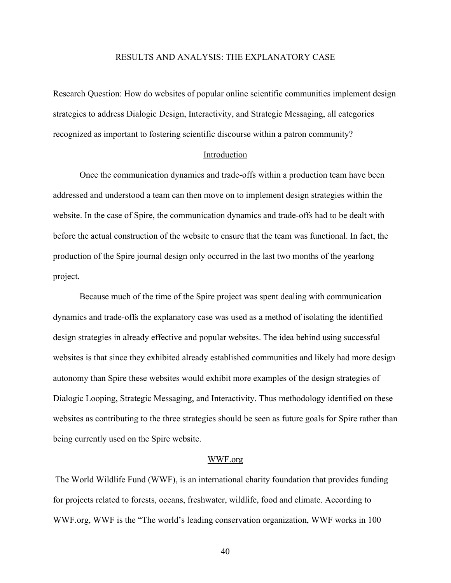# RESULTS AND ANALYSIS: THE EXPLANATORY CASE

Research Question: How do websites of popular online scientific communities implement design strategies to address Dialogic Design, Interactivity, and Strategic Messaging, all categories recognized as important to fostering scientific discourse within a patron community?

#### Introduction

Once the communication dynamics and trade-offs within a production team have been addressed and understood a team can then move on to implement design strategies within the website. In the case of Spire, the communication dynamics and trade-offs had to be dealt with before the actual construction of the website to ensure that the team was functional. In fact, the production of the Spire journal design only occurred in the last two months of the yearlong project.

Because much of the time of the Spire project was spent dealing with communication dynamics and trade-offs the explanatory case was used as a method of isolating the identified design strategies in already effective and popular websites. The idea behind using successful websites is that since they exhibited already established communities and likely had more design autonomy than Spire these websites would exhibit more examples of the design strategies of Dialogic Looping, Strategic Messaging, and Interactivity. Thus methodology identified on these websites as contributing to the three strategies should be seen as future goals for Spire rather than being currently used on the Spire website.

# WWF.org

The World Wildlife Fund (WWF), is an international charity foundation that provides funding for projects related to forests, oceans, freshwater, wildlife, food and climate. According to WWF.org, WWF is the "The world's leading conservation organization, WWF works in 100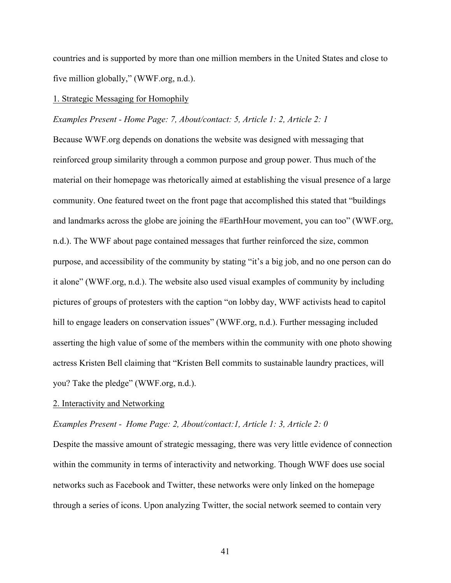countries and is supported by more than one million members in the United States and close to five million globally," (WWF.org, n.d.).

## 1. Strategic Messaging for Homophily

#### *Examples Present - Home Page: 7, About/contact: 5, Article 1: 2, Article 2: 1*

Because WWF.org depends on donations the website was designed with messaging that reinforced group similarity through a common purpose and group power. Thus much of the material on their homepage was rhetorically aimed at establishing the visual presence of a large community. One featured tweet on the front page that accomplished this stated that "buildings and landmarks across the globe are joining the #EarthHour movement, you can too" (WWF.org, n.d.). The WWF about page contained messages that further reinforced the size, common purpose, and accessibility of the community by stating "it's a big job, and no one person can do it alone" (WWF.org, n.d.). The website also used visual examples of community by including pictures of groups of protesters with the caption "on lobby day, WWF activists head to capitol hill to engage leaders on conservation issues" (WWF.org, n.d.). Further messaging included asserting the high value of some of the members within the community with one photo showing actress Kristen Bell claiming that "Kristen Bell commits to sustainable laundry practices, will you? Take the pledge" (WWF.org, n.d.).

#### 2. Interactivity and Networking

#### *Examples Present - Home Page: 2, About/contact:1, Article 1: 3, Article 2: 0*

Despite the massive amount of strategic messaging, there was very little evidence of connection within the community in terms of interactivity and networking. Though WWF does use social networks such as Facebook and Twitter, these networks were only linked on the homepage through a series of icons. Upon analyzing Twitter, the social network seemed to contain very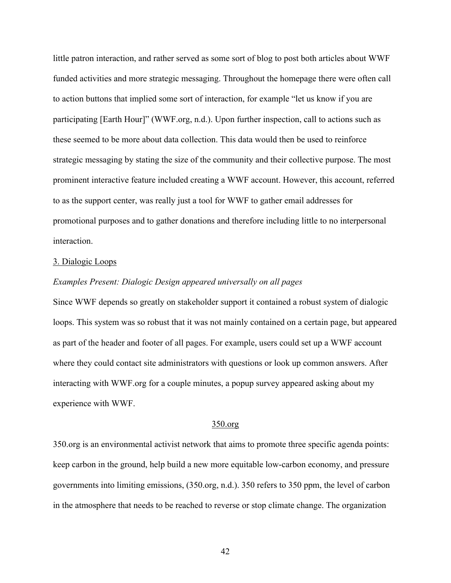little patron interaction, and rather served as some sort of blog to post both articles about WWF funded activities and more strategic messaging. Throughout the homepage there were often call to action buttons that implied some sort of interaction, for example "let us know if you are participating [Earth Hour]" (WWF.org, n.d.). Upon further inspection, call to actions such as these seemed to be more about data collection. This data would then be used to reinforce strategic messaging by stating the size of the community and their collective purpose. The most prominent interactive feature included creating a WWF account. However, this account, referred to as the support center, was really just a tool for WWF to gather email addresses for promotional purposes and to gather donations and therefore including little to no interpersonal interaction.

#### 3. Dialogic Loops

# *Examples Present: Dialogic Design appeared universally on all pages*

Since WWF depends so greatly on stakeholder support it contained a robust system of dialogic loops. This system was so robust that it was not mainly contained on a certain page, but appeared as part of the header and footer of all pages. For example, users could set up a WWF account where they could contact site administrators with questions or look up common answers. After interacting with WWF.org for a couple minutes, a popup survey appeared asking about my experience with WWF.

#### 350.org

350.org is an environmental activist network that aims to promote three specific agenda points: keep carbon in the ground, help build a new more equitable low-carbon economy, and pressure governments into limiting emissions, (350.org, n.d.). 350 refers to 350 ppm, the level of carbon in the atmosphere that needs to be reached to reverse or stop climate change. The organization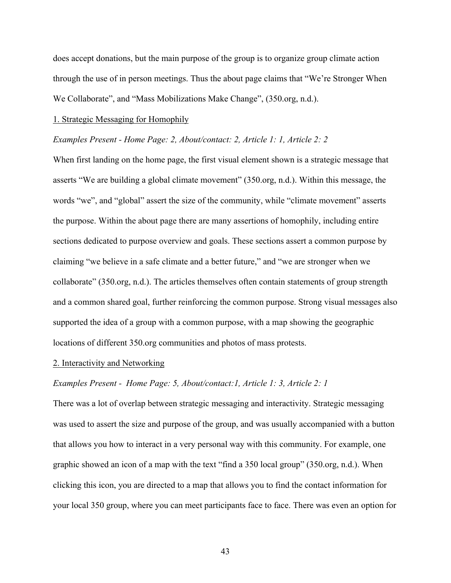does accept donations, but the main purpose of the group is to organize group climate action through the use of in person meetings. Thus the about page claims that "We're Stronger When We Collaborate", and "Mass Mobilizations Make Change", (350.org, n.d.).

#### 1. Strategic Messaging for Homophily

# *Examples Present - Home Page: 2, About/contact: 2, Article 1: 1, Article 2: 2*

When first landing on the home page, the first visual element shown is a strategic message that asserts "We are building a global climate movement" (350.org, n.d.). Within this message, the words "we", and "global" assert the size of the community, while "climate movement" asserts the purpose. Within the about page there are many assertions of homophily, including entire sections dedicated to purpose overview and goals. These sections assert a common purpose by claiming "we believe in a safe climate and a better future," and "we are stronger when we collaborate" (350.org, n.d.). The articles themselves often contain statements of group strength and a common shared goal, further reinforcing the common purpose. Strong visual messages also supported the idea of a group with a common purpose, with a map showing the geographic locations of different 350.org communities and photos of mass protests.

#### 2. Interactivity and Networking

# *Examples Present - Home Page: 5, About/contact:1, Article 1: 3, Article 2: 1*

There was a lot of overlap between strategic messaging and interactivity. Strategic messaging was used to assert the size and purpose of the group, and was usually accompanied with a button that allows you how to interact in a very personal way with this community. For example, one graphic showed an icon of a map with the text "find a 350 local group" (350.org, n.d.). When clicking this icon, you are directed to a map that allows you to find the contact information for your local 350 group, where you can meet participants face to face. There was even an option for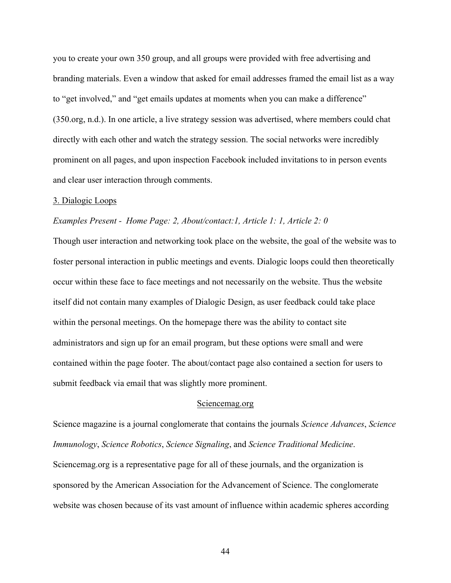you to create your own 350 group, and all groups were provided with free advertising and branding materials. Even a window that asked for email addresses framed the email list as a way to "get involved," and "get emails updates at moments when you can make a difference" (350.org, n.d.). In one article, a live strategy session was advertised, where members could chat directly with each other and watch the strategy session. The social networks were incredibly prominent on all pages, and upon inspection Facebook included invitations to in person events and clear user interaction through comments.

### 3. Dialogic Loops

#### *Examples Present - Home Page: 2, About/contact:1, Article 1: 1, Article 2: 0*

Though user interaction and networking took place on the website, the goal of the website was to foster personal interaction in public meetings and events. Dialogic loops could then theoretically occur within these face to face meetings and not necessarily on the website. Thus the website itself did not contain many examples of Dialogic Design, as user feedback could take place within the personal meetings. On the homepage there was the ability to contact site administrators and sign up for an email program, but these options were small and were contained within the page footer. The about/contact page also contained a section for users to submit feedback via email that was slightly more prominent.

#### Sciencemag.org

Science magazine is a journal conglomerate that contains the journals *Science Advances*, *Science Immunology*, *Science Robotics*, *Science Signaling*, and *Science Traditional Medicine*. Sciencemag.org is a representative page for all of these journals, and the organization is sponsored by the American Association for the Advancement of Science. The conglomerate website was chosen because of its vast amount of influence within academic spheres according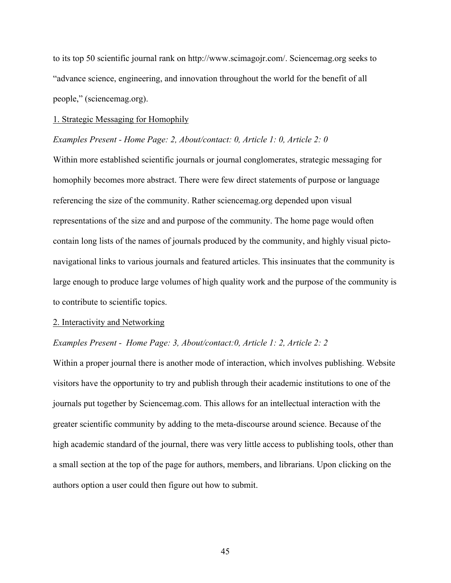to its top 50 scientific journal rank on http://www.scimagojr.com/. Sciencemag.org seeks to "advance science, engineering, and innovation throughout the world for the benefit of all people," (sciencemag.org).

#### 1. Strategic Messaging for Homophily

# *Examples Present - Home Page: 2, About/contact: 0, Article 1: 0, Article 2: 0*

Within more established scientific journals or journal conglomerates, strategic messaging for homophily becomes more abstract. There were few direct statements of purpose or language referencing the size of the community. Rather sciencemag.org depended upon visual representations of the size and and purpose of the community. The home page would often contain long lists of the names of journals produced by the community, and highly visual pictonavigational links to various journals and featured articles. This insinuates that the community is large enough to produce large volumes of high quality work and the purpose of the community is to contribute to scientific topics.

#### 2. Interactivity and Networking

#### *Examples Present - Home Page: 3, About/contact:0, Article 1: 2, Article 2: 2*

Within a proper journal there is another mode of interaction, which involves publishing. Website visitors have the opportunity to try and publish through their academic institutions to one of the journals put together by Sciencemag.com. This allows for an intellectual interaction with the greater scientific community by adding to the meta-discourse around science. Because of the high academic standard of the journal, there was very little access to publishing tools, other than a small section at the top of the page for authors, members, and librarians. Upon clicking on the authors option a user could then figure out how to submit.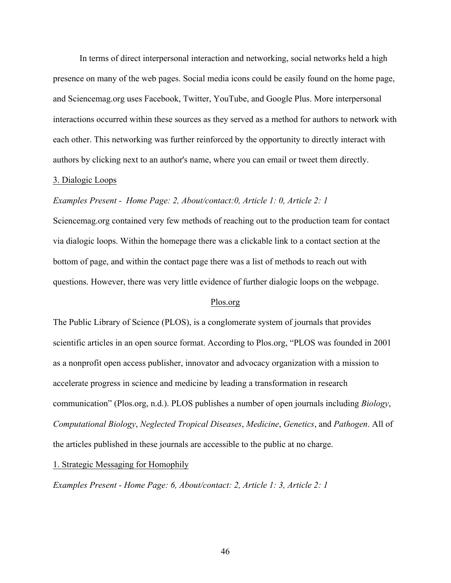In terms of direct interpersonal interaction and networking, social networks held a high presence on many of the web pages. Social media icons could be easily found on the home page, and Sciencemag.org uses Facebook, Twitter, YouTube, and Google Plus. More interpersonal interactions occurred within these sources as they served as a method for authors to network with each other. This networking was further reinforced by the opportunity to directly interact with authors by clicking next to an author's name, where you can email or tweet them directly.

# 3. Dialogic Loops

# *Examples Present - Home Page: 2, About/contact:0, Article 1: 0, Article 2: 1*

Sciencemag.org contained very few methods of reaching out to the production team for contact via dialogic loops. Within the homepage there was a clickable link to a contact section at the bottom of page, and within the contact page there was a list of methods to reach out with questions. However, there was very little evidence of further dialogic loops on the webpage.

#### Plos.org

The Public Library of Science (PLOS), is a conglomerate system of journals that provides scientific articles in an open source format. According to Plos.org, "PLOS was founded in 2001 as a nonprofit open access publisher, innovator and advocacy organization with a mission to accelerate progress in science and medicine by leading a transformation in research communication" (Plos.org, n.d.). PLOS publishes a number of open journals including *Biology*, *Computational Biology*, *Neglected Tropical Diseases*, *Medicine*, *Genetics*, and *Pathogen*. All of the articles published in these journals are accessible to the public at no charge.

1. Strategic Messaging for Homophily

*Examples Present - Home Page: 6, About/contact: 2, Article 1: 3, Article 2: 1*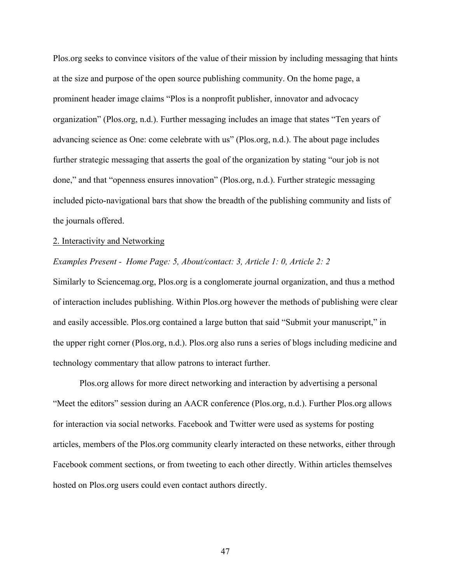Plos.org seeks to convince visitors of the value of their mission by including messaging that hints at the size and purpose of the open source publishing community. On the home page, a prominent header image claims "Plos is a nonprofit publisher, innovator and advocacy organization" (Plos.org, n.d.). Further messaging includes an image that states "Ten years of advancing science as One: come celebrate with us" (Plos.org, n.d.). The about page includes further strategic messaging that asserts the goal of the organization by stating "our job is not done," and that "openness ensures innovation" (Plos.org, n.d.). Further strategic messaging included picto-navigational bars that show the breadth of the publishing community and lists of the journals offered.

#### 2. Interactivity and Networking

#### *Examples Present - Home Page: 5, About/contact: 3, Article 1: 0, Article 2: 2*

Similarly to Sciencemag.org, Plos.org is a conglomerate journal organization, and thus a method of interaction includes publishing. Within Plos.org however the methods of publishing were clear and easily accessible. Plos.org contained a large button that said "Submit your manuscript," in the upper right corner (Plos.org, n.d.). Plos.org also runs a series of blogs including medicine and technology commentary that allow patrons to interact further.

Plos.org allows for more direct networking and interaction by advertising a personal "Meet the editors" session during an AACR conference (Plos.org, n.d.). Further Plos.org allows for interaction via social networks. Facebook and Twitter were used as systems for posting articles, members of the Plos.org community clearly interacted on these networks, either through Facebook comment sections, or from tweeting to each other directly. Within articles themselves hosted on Plos.org users could even contact authors directly.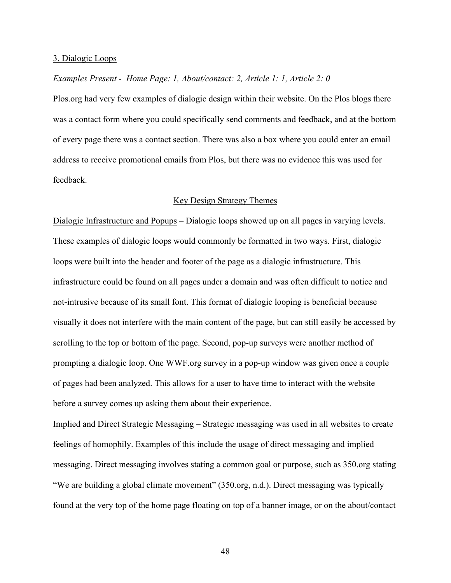#### 3. Dialogic Loops

# *Examples Present - Home Page: 1, About/contact: 2, Article 1: 1, Article 2: 0*

Plos.org had very few examples of dialogic design within their website. On the Plos blogs there was a contact form where you could specifically send comments and feedback, and at the bottom of every page there was a contact section. There was also a box where you could enter an email address to receive promotional emails from Plos, but there was no evidence this was used for feedback.

### Key Design Strategy Themes

Dialogic Infrastructure and Popups – Dialogic loops showed up on all pages in varying levels. These examples of dialogic loops would commonly be formatted in two ways. First, dialogic loops were built into the header and footer of the page as a dialogic infrastructure. This infrastructure could be found on all pages under a domain and was often difficult to notice and not-intrusive because of its small font. This format of dialogic looping is beneficial because visually it does not interfere with the main content of the page, but can still easily be accessed by scrolling to the top or bottom of the page. Second, pop-up surveys were another method of prompting a dialogic loop. One WWF.org survey in a pop-up window was given once a couple of pages had been analyzed. This allows for a user to have time to interact with the website before a survey comes up asking them about their experience.

Implied and Direct Strategic Messaging – Strategic messaging was used in all websites to create feelings of homophily. Examples of this include the usage of direct messaging and implied messaging. Direct messaging involves stating a common goal or purpose, such as 350.org stating "We are building a global climate movement" (350.org, n.d.). Direct messaging was typically found at the very top of the home page floating on top of a banner image, or on the about/contact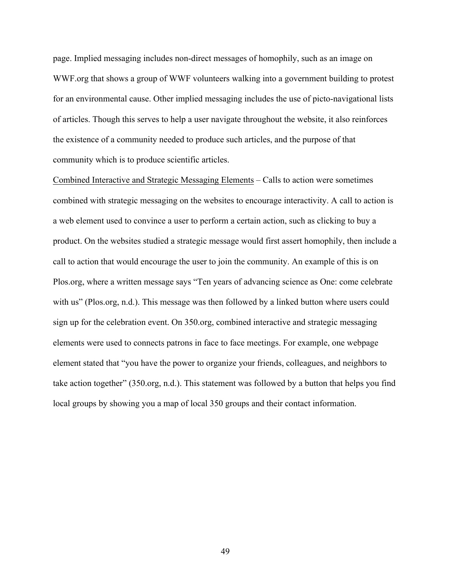page. Implied messaging includes non-direct messages of homophily, such as an image on WWF.org that shows a group of WWF volunteers walking into a government building to protest for an environmental cause. Other implied messaging includes the use of picto-navigational lists of articles. Though this serves to help a user navigate throughout the website, it also reinforces the existence of a community needed to produce such articles, and the purpose of that community which is to produce scientific articles.

Combined Interactive and Strategic Messaging Elements – Calls to action were sometimes combined with strategic messaging on the websites to encourage interactivity. A call to action is a web element used to convince a user to perform a certain action, such as clicking to buy a product. On the websites studied a strategic message would first assert homophily, then include a call to action that would encourage the user to join the community. An example of this is on Plos.org, where a written message says "Ten years of advancing science as One: come celebrate with us" (Plos.org, n.d.). This message was then followed by a linked button where users could sign up for the celebration event. On 350.org, combined interactive and strategic messaging elements were used to connects patrons in face to face meetings. For example, one webpage element stated that "you have the power to organize your friends, colleagues, and neighbors to take action together" (350.org, n.d.). This statement was followed by a button that helps you find local groups by showing you a map of local 350 groups and their contact information.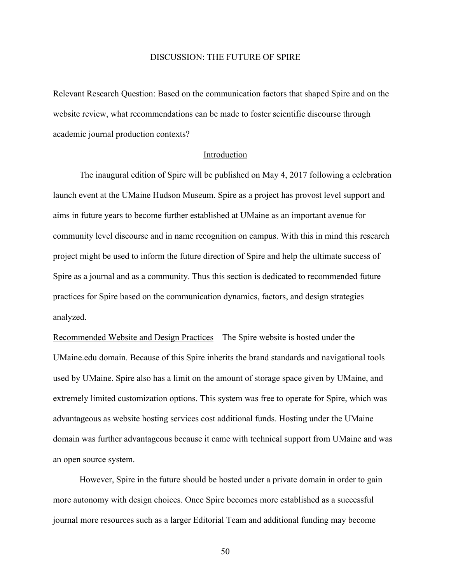# DISCUSSION: THE FUTURE OF SPIRE

Relevant Research Question: Based on the communication factors that shaped Spire and on the website review, what recommendations can be made to foster scientific discourse through academic journal production contexts?

#### Introduction

The inaugural edition of Spire will be published on May 4, 2017 following a celebration launch event at the UMaine Hudson Museum. Spire as a project has provost level support and aims in future years to become further established at UMaine as an important avenue for community level discourse and in name recognition on campus. With this in mind this research project might be used to inform the future direction of Spire and help the ultimate success of Spire as a journal and as a community. Thus this section is dedicated to recommended future practices for Spire based on the communication dynamics, factors, and design strategies analyzed.

Recommended Website and Design Practices – The Spire website is hosted under the UMaine.edu domain. Because of this Spire inherits the brand standards and navigational tools used by UMaine. Spire also has a limit on the amount of storage space given by UMaine, and extremely limited customization options. This system was free to operate for Spire, which was advantageous as website hosting services cost additional funds. Hosting under the UMaine domain was further advantageous because it came with technical support from UMaine and was an open source system.

However, Spire in the future should be hosted under a private domain in order to gain more autonomy with design choices. Once Spire becomes more established as a successful journal more resources such as a larger Editorial Team and additional funding may become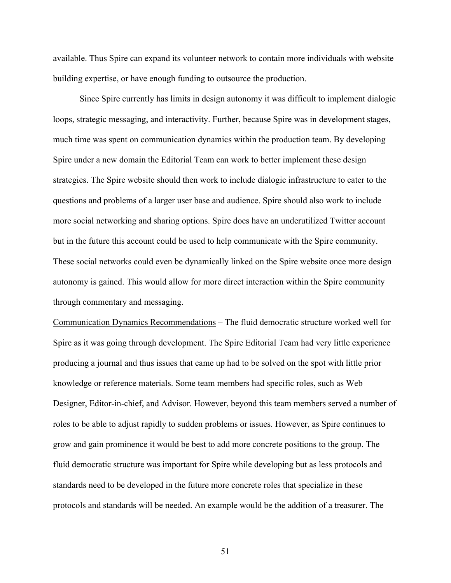available. Thus Spire can expand its volunteer network to contain more individuals with website building expertise, or have enough funding to outsource the production.

Since Spire currently has limits in design autonomy it was difficult to implement dialogic loops, strategic messaging, and interactivity. Further, because Spire was in development stages, much time was spent on communication dynamics within the production team. By developing Spire under a new domain the Editorial Team can work to better implement these design strategies. The Spire website should then work to include dialogic infrastructure to cater to the questions and problems of a larger user base and audience. Spire should also work to include more social networking and sharing options. Spire does have an underutilized Twitter account but in the future this account could be used to help communicate with the Spire community. These social networks could even be dynamically linked on the Spire website once more design autonomy is gained. This would allow for more direct interaction within the Spire community through commentary and messaging.

Communication Dynamics Recommendations – The fluid democratic structure worked well for Spire as it was going through development. The Spire Editorial Team had very little experience producing a journal and thus issues that came up had to be solved on the spot with little prior knowledge or reference materials. Some team members had specific roles, such as Web Designer, Editor-in-chief, and Advisor. However, beyond this team members served a number of roles to be able to adjust rapidly to sudden problems or issues. However, as Spire continues to grow and gain prominence it would be best to add more concrete positions to the group. The fluid democratic structure was important for Spire while developing but as less protocols and standards need to be developed in the future more concrete roles that specialize in these protocols and standards will be needed. An example would be the addition of a treasurer. The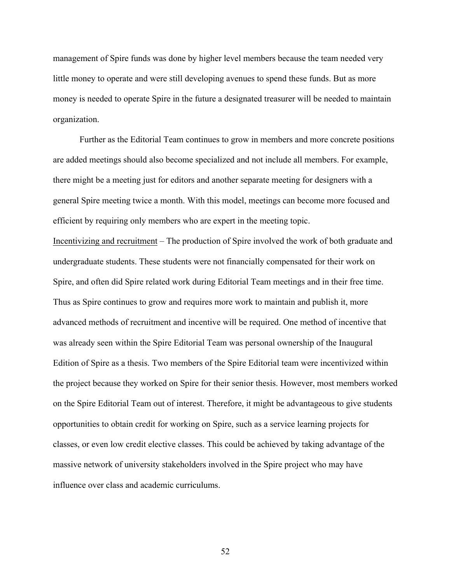management of Spire funds was done by higher level members because the team needed very little money to operate and were still developing avenues to spend these funds. But as more money is needed to operate Spire in the future a designated treasurer will be needed to maintain organization.

Further as the Editorial Team continues to grow in members and more concrete positions are added meetings should also become specialized and not include all members. For example, there might be a meeting just for editors and another separate meeting for designers with a general Spire meeting twice a month. With this model, meetings can become more focused and efficient by requiring only members who are expert in the meeting topic.

Incentivizing and recruitment – The production of Spire involved the work of both graduate and undergraduate students. These students were not financially compensated for their work on Spire, and often did Spire related work during Editorial Team meetings and in their free time. Thus as Spire continues to grow and requires more work to maintain and publish it, more advanced methods of recruitment and incentive will be required. One method of incentive that was already seen within the Spire Editorial Team was personal ownership of the Inaugural Edition of Spire as a thesis. Two members of the Spire Editorial team were incentivized within the project because they worked on Spire for their senior thesis. However, most members worked on the Spire Editorial Team out of interest. Therefore, it might be advantageous to give students opportunities to obtain credit for working on Spire, such as a service learning projects for classes, or even low credit elective classes. This could be achieved by taking advantage of the massive network of university stakeholders involved in the Spire project who may have influence over class and academic curriculums.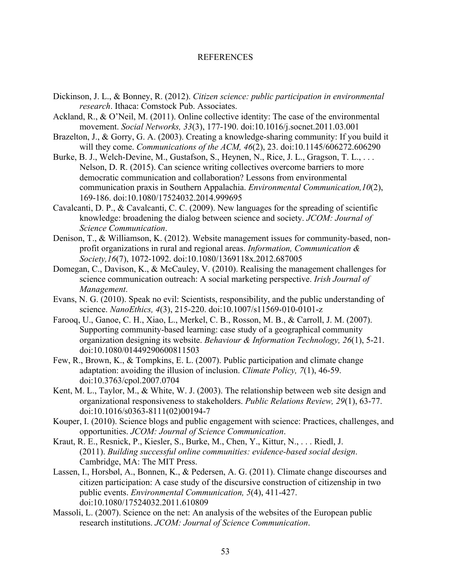# REFERENCES

- Dickinson, J. L., & Bonney, R. (2012). *Citizen science: public participation in environmental research*. Ithaca: Comstock Pub. Associates.
- Ackland, R., & O'Neil, M. (2011). Online collective identity: The case of the environmental movement. *Social Networks, 33*(3), 177-190. doi:10.1016/j.socnet.2011.03.001
- Brazelton, J., & Gorry, G. A. (2003). Creating a knowledge-sharing community: If you build it will they come. *Communications of the ACM, 46*(2), 23. doi:10.1145/606272.606290
- Burke, B. J., Welch-Devine, M., Gustafson, S., Heynen, N., Rice, J. L., Gragson, T. L., . . . Nelson, D. R. (2015). Can science writing collectives overcome barriers to more democratic communication and collaboration? Lessons from environmental communication praxis in Southern Appalachia. *Environmental Communication,10*(2), 169-186. doi:10.1080/17524032.2014.999695
- Cavalcanti, D. P., & Cavalcanti, C. C. (2009). New languages for the spreading of scientific knowledge: broadening the dialog between science and society. *JCOM: Journal of Science Communication*.
- Denison, T., & Williamson, K. (2012). Website management issues for community-based, nonprofit organizations in rural and regional areas. *Information, Communication & Society,16*(7), 1072-1092. doi:10.1080/1369118x.2012.687005
- Domegan, C., Davison, K., & McCauley, V. (2010). Realising the management challenges for science communication outreach: A social marketing perspective. *Irish Journal of Management*.
- Evans, N. G. (2010). Speak no evil: Scientists, responsibility, and the public understanding of science. *NanoEthics, 4*(3), 215-220. doi:10.1007/s11569-010-0101-z
- Farooq, U., Ganoe, C. H., Xiao, L., Merkel, C. B., Rosson, M. B., & Carroll, J. M. (2007). Supporting community-based learning: case study of a geographical community organization designing its website. *Behaviour & Information Technology, 26*(1), 5-21. doi:10.1080/01449290600811503
- Few, R., Brown, K., & Tompkins, E. L. (2007). Public participation and climate change adaptation: avoiding the illusion of inclusion. *Climate Policy, 7*(1), 46-59. doi:10.3763/cpol.2007.0704
- Kent, M. L., Taylor, M., & White, W. J. (2003). The relationship between web site design and organizational responsiveness to stakeholders. *Public Relations Review, 29*(1), 63-77. doi:10.1016/s0363-8111(02)00194-7
- Kouper, I. (2010). Science blogs and public engagement with science: Practices, challenges, and opportunities. *JCOM: Journal of Science Communication*.
- Kraut, R. E., Resnick, P., Kiesler, S., Burke, M., Chen, Y., Kittur, N., . . . Riedl, J. (2011). *Building successful online communities: evidence-based social design*. Cambridge, MA: The MIT Press.
- Lassen, I., Horsbøl, A., Bonnen, K., & Pedersen, A. G. (2011). Climate change discourses and citizen participation: A case study of the discursive construction of citizenship in two public events. *Environmental Communication, 5*(4), 411-427. doi:10.1080/17524032.2011.610809
- Massoli, L. (2007). Science on the net: An analysis of the websites of the European public research institutions. *JCOM: Journal of Science Communication*.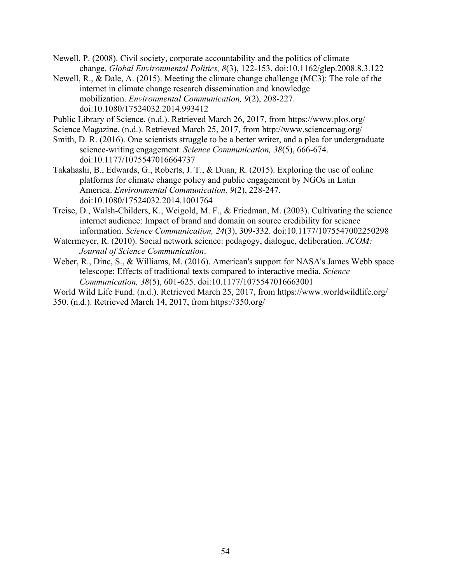Newell, P. (2008). Civil society, corporate accountability and the politics of climate change. *Global Environmental Politics, 8*(3), 122-153. doi:10.1162/glep.2008.8.3.122

Newell, R., & Dale, A. (2015). Meeting the climate change challenge (MC3): The role of the internet in climate change research dissemination and knowledge mobilization. *Environmental Communication, 9*(2), 208-227. doi:10.1080/17524032.2014.993412

Public Library of Science. (n.d.). Retrieved March 26, 2017, from https://www.plos.org/

- Science Magazine. (n.d.). Retrieved March 25, 2017, from http://www.sciencemag.org/
- Smith, D. R. (2016). One scientists struggle to be a better writer, and a plea for undergraduate science-writing engagement. *Science Communication, 38*(5), 666-674. doi:10.1177/1075547016664737
- Takahashi, B., Edwards, G., Roberts, J. T., & Duan, R. (2015). Exploring the use of online platforms for climate change policy and public engagement by NGOs in Latin America. *Environmental Communication, 9*(2), 228-247. doi:10.1080/17524032.2014.1001764
- Treise, D., Walsh-Childers, K., Weigold, M. F., & Friedman, M. (2003). Cultivating the science internet audience: Impact of brand and domain on source credibility for science information. *Science Communication, 24*(3), 309-332. doi:10.1177/1075547002250298
- Watermeyer, R. (2010). Social network science: pedagogy, dialogue, deliberation. *JCOM: Journal of Science Communication*.
- Weber, R., Dinc, S., & Williams, M. (2016). American's support for NASA's James Webb space telescope: Effects of traditional texts compared to interactive media. *Science Communication, 38*(5), 601-625. doi:10.1177/1075547016663001
- World Wild Life Fund. (n.d.). Retrieved March 25, 2017, from https://www.worldwildlife.org/ 350. (n.d.). Retrieved March 14, 2017, from https://350.org/